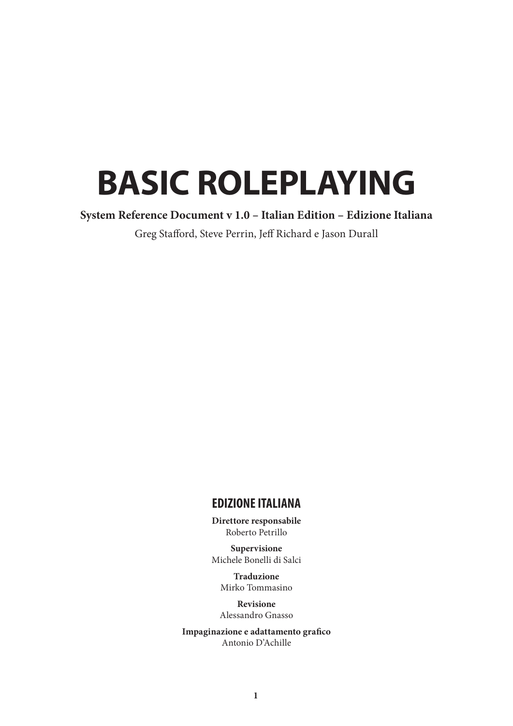# **BASIC ROLEPLAYING**

**System Reference Document v 1.0 – Italian Edition – Edizione Italiana**

Greg Stafford, Steve Perrin, Jeff Richard e Jason Durall

#### **EDIZIONE ITALIANA**

**Direttore responsabile**  Roberto Petrillo

**Supervisione**  Michele Bonelli di Salci

**Traduzione**  Mirko Tommasino

**Revisione**  Alessandro Gnasso

**Impaginazione e adattamento grafico**  Antonio D'Achille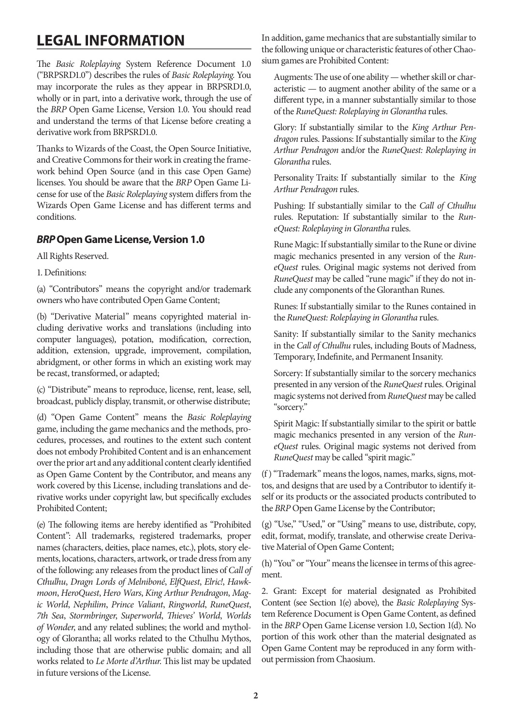# **LEGAL INFORMATION**

The *Basic Roleplaying* System Reference Document 1.0 ("BRPSRD1.0") describes the rules of *Basic Roleplaying*. You may incorporate the rules as they appear in BRPSRD1.0, wholly or in part, into a derivative work, through the use of the *BRP* Open Game License, Version 1.0. You should read and understand the terms of that License before creating a derivative work from BRPSRD1.0.

Thanks to Wizards of the Coast, the Open Source Initiative, and Creative Commons for their work in creating the framework behind Open Source (and in this case Open Game) licenses. You should be aware that the *BRP* Open Game License for use of the *Basic Roleplaying* system differs from the Wizards Open Game License and has different terms and conditions.

#### *BRP* **Open Game License, Version 1.0**

All Rights Reserved.

1. Definitions:

(a) "Contributors" means the copyright and/or trademark owners who have contributed Open Game Content;

(b) "Derivative Material" means copyrighted material including derivative works and translations (including into computer languages), potation, modification, correction, addition, extension, upgrade, improvement, compilation, abridgment, or other forms in which an existing work may be recast, transformed, or adapted;

(c) "Distribute" means to reproduce, license, rent, lease, sell, broadcast, publicly display, transmit, or otherwise distribute;

(d) "Open Game Content" means the *Basic Roleplaying*  game, including the game mechanics and the methods, procedures, processes, and routines to the extent such content does not embody Prohibited Content and is an enhancement over the prior art and any additional content clearly identified as Open Game Content by the Contributor, and means any work covered by this License, including translations and derivative works under copyright law, but specifically excludes Prohibited Content;

(e) The following items are hereby identified as "Prohibited Content": All trademarks, registered trademarks, proper names (characters, deities, place names, etc.), plots, story elements, locations, characters, artwork, or trade dress from any of the following: any releases from the product lines of *Call of Cthulhu*, *Dragn Lords of Melniboné*, *ElfQuest*, *Elric!*, *Hawkmoon*, *HeroQuest*, *Hero Wars*, *King Arthur Pendragon*, *Magic World*, *Nephilim*, *Prince Valiant*, *Ringworld*, *RuneQuest*, *7th Sea*, *Stormbringer*, *Superworld*, *Thieves' World*, *Worlds of Wonder*, and any related sublines; the world and mythology of Glorantha; all works related to the Cthulhu Mythos, including those that are otherwise public domain; and all works related to *Le Morte d'Arthur*. This list may be updated in future versions of the License.

In addition, game mechanics that are substantially similar to the following unique or characteristic features of other Chaosium games are Prohibited Content:

Augments: The use of one ability — whether skill or characteristic — to augment another ability of the same or a different type, in a manner substantially similar to those of the *RuneQuest: Roleplaying in Glorantha* rules.

Glory: If substantially similar to the *King Arthur Pendragon* rules. Passions: If substantially similar to the *King Arthur Pendragon* and/or the *RuneQuest: Roleplaying in Glorantha* rules.

Personality Traits: If substantially similar to the *King Arthur Pendragon* rules.

Pushing: If substantially similar to the *Call of Cthulhu*  rules. Reputation: If substantially similar to the *RuneQuest: Roleplaying in Glorantha* rules.

Rune Magic: If substantially similar to the Rune or divine magic mechanics presented in any version of the *RuneQuest* rules. Original magic systems not derived from *RuneQuest* may be called "rune magic" if they do not include any components of the Gloranthan Runes.

Runes: If substantially similar to the Runes contained in the *RuneQuest: Roleplaying in Glorantha* rules.

Sanity: If substantially similar to the Sanity mechanics in the *Call of Cthulhu* rules, including Bouts of Madness, Temporary, Indefinite, and Permanent Insanity.

Sorcery: If substantially similar to the sorcery mechanics presented in any version of the *RuneQuest* rules. Original magic systems not derived from *RuneQuest* may be called "sorcery."

Spirit Magic: If substantially similar to the spirit or battle magic mechanics presented in any version of the *RuneQuest* rules. Original magic systems not derived from *RuneQuest* may be called "spirit magic."

(f ) "Trademark" means the logos, names, marks, signs, mottos, and designs that are used by a Contributor to identify itself or its products or the associated products contributed to the *BRP* Open Game License by the Contributor;

(g) "Use," "Used," or "Using" means to use, distribute, copy, edit, format, modify, translate, and otherwise create Derivative Material of Open Game Content;

(h) "You" or "Your" means the licensee in terms of this agreement.

2. Grant: Except for material designated as Prohibited Content (see Section 1(e) above), the *Basic Roleplaying* System Reference Document is Open Game Content, as defined in the *BRP* Open Game License version 1.0, Section 1(d). No portion of this work other than the material designated as Open Game Content may be reproduced in any form without permission from Chaosium.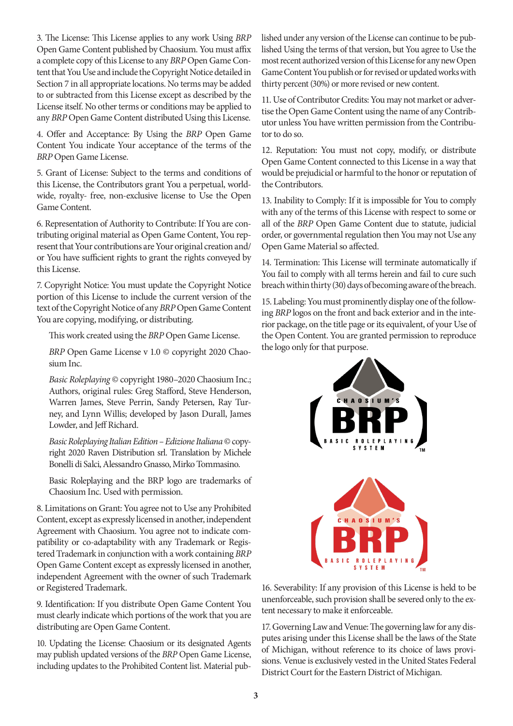3. The License: This License applies to any work Using *BRP*  Open Game Content published by Chaosium. You must affix a complete copy of this License to any *BRP* Open Game Content that You Use and include the Copyright Notice detailed in Section 7 in all appropriate locations. No terms may be added to or subtracted from this License except as described by the License itself. No other terms or conditions may be applied to any *BRP* Open Game Content distributed Using this License.

4. Offer and Acceptance: By Using the *BRP* Open Game Content You indicate Your acceptance of the terms of the *BRP* Open Game License.

5. Grant of License: Subject to the terms and conditions of this License, the Contributors grant You a perpetual, worldwide, royalty- free, non-exclusive license to Use the Open Game Content.

6. Representation of Authority to Contribute: If You are contributing original material as Open Game Content, You represent that Your contributions are Your original creation and/ or You have sufficient rights to grant the rights conveyed by this License.

7. Copyright Notice: You must update the Copyright Notice portion of this License to include the current version of the text of the Copyright Notice of any *BRP* Open Game Content You are copying, modifying, or distributing.

This work created using the *BRP* Open Game License.

*BRP* Open Game License v 1.0 © copyright 2020 Chaosium Inc.

*Basic Roleplaying* © copyright 1980–2020 Chaosium Inc.; Authors, original rules: Greg Stafford, Steve Henderson, Warren James, Steve Perrin, Sandy Petersen, Ray Turney, and Lynn Willis; developed by Jason Durall, James Lowder, and Jeff Richard.

*Basic Roleplaying Italian Edition – Edizione Italiana* © copyright 2020 Raven Distribution srl. Translation by Michele Bonelli di Salci, Alessandro Gnasso, Mirko Tommasino.

Basic Roleplaying and the BRP logo are trademarks of Chaosium Inc. Used with permission.

8. Limitations on Grant: You agree not to Use any Prohibited Content, except as expressly licensed in another, independent Agreement with Chaosium. You agree not to indicate compatibility or co-adaptability with any Trademark or Registered Trademark in conjunction with a work containing *BRP*  Open Game Content except as expressly licensed in another, independent Agreement with the owner of such Trademark or Registered Trademark.

9. Identification: If you distribute Open Game Content You must clearly indicate which portions of the work that you are distributing are Open Game Content.

10. Updating the License: Chaosium or its designated Agents may publish updated versions of the *BRP* Open Game License, including updates to the Prohibited Content list. Material published under any version of the License can continue to be published Using the terms of that version, but You agree to Use the most recent authorized version of this License for any new Open Game Content You publish or for revised or updated works with thirty percent (30%) or more revised or new content.

11. Use of Contributor Credits: You may not market or advertise the Open Game Content using the name of any Contributor unless You have written permission from the Contributor to do so.

12. Reputation: You must not copy, modify, or distribute Open Game Content connected to this License in a way that would be prejudicial or harmful to the honor or reputation of the Contributors.

13. Inability to Comply: If it is impossible for You to comply with any of the terms of this License with respect to some or all of the *BRP* Open Game Content due to statute, judicial order, or governmental regulation then You may not Use any Open Game Material so affected.

14. Termination: This License will terminate automatically if You fail to comply with all terms herein and fail to cure such breach within thirty (30) days of becoming aware of the breach.

15. Labeling: You must prominently display one of the following *BRP* logos on the front and back exterior and in the interior package, on the title page or its equivalent, of your Use of the Open Content. You are granted permission to reproduce the logo only for that purpose.



16. Severability: If any provision of this License is held to be unenforceable, such provision shall be severed only to the extent necessary to make it enforceable.

17. Governing Law and Venue: The governing law for any disputes arising under this License shall be the laws of the State of Michigan, without reference to its choice of laws provisions. Venue is exclusively vested in the United States Federal District Court for the Eastern District of Michigan.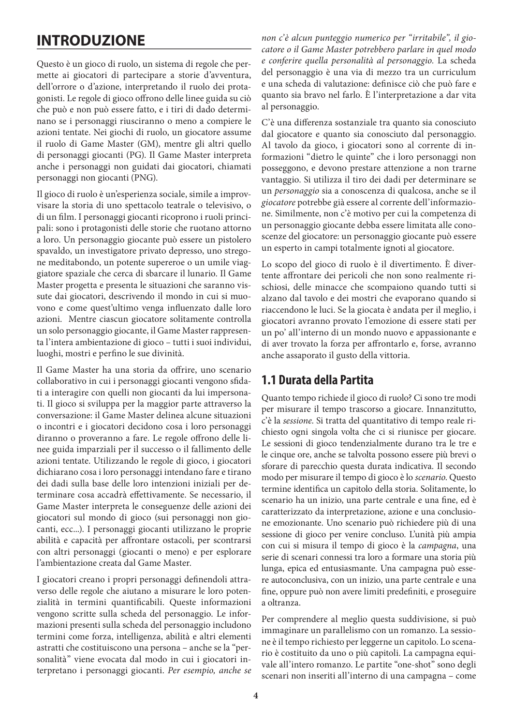# **INTRODUZIONE**

Questo è un gioco di ruolo, un sistema di regole che permette ai giocatori di partecipare a storie d'avventura, dell'orrore o d'azione, interpretando il ruolo dei protagonisti. Le regole di gioco offrono delle linee guida su ciò che può e non può essere fatto, e i tiri di dado determinano se i personaggi riusciranno o meno a compiere le azioni tentate. Nei giochi di ruolo, un giocatore assume il ruolo di Game Master (GM), mentre gli altri quello di personaggi giocanti (PG). Il Game Master interpreta anche i personaggi non guidati dai giocatori, chiamati personaggi non giocanti (PNG).

Il gioco di ruolo è un'esperienza sociale, simile a improvvisare la storia di uno spettacolo teatrale o televisivo, o di un film. I personaggi giocanti ricoprono i ruoli principali: sono i protagonisti delle storie che ruotano attorno a loro. Un personaggio giocante può essere un pistolero spavaldo, un investigatore privato depresso, uno stregone meditabondo, un potente supereroe o un umile viaggiatore spaziale che cerca di sbarcare il lunario. Il Game Master progetta e presenta le situazioni che saranno vissute dai giocatori, descrivendo il mondo in cui si muovono e come quest'ultimo venga influenzato dalle loro azioni. Mentre ciascun giocatore solitamente controlla un solo personaggio giocante, il Game Master rappresenta l'intera ambientazione di gioco – tutti i suoi individui, luoghi, mostri e perfino le sue divinità.

Il Game Master ha una storia da offrire, uno scenario collaborativo in cui i personaggi giocanti vengono sfidati a interagire con quelli non giocanti da lui impersonati. Il gioco si sviluppa per la maggior parte attraverso la conversazione: il Game Master delinea alcune situazioni o incontri e i giocatori decidono cosa i loro personaggi diranno o proveranno a fare. Le regole offrono delle linee guida imparziali per il successo o il fallimento delle azioni tentate. Utilizzando le regole di gioco, i giocatori dichiarano cosa i loro personaggi intendano fare e tirano dei dadi sulla base delle loro intenzioni iniziali per determinare cosa accadrà effettivamente. Se necessario, il Game Master interpreta le conseguenze delle azioni dei giocatori sul mondo di gioco (sui personaggi non giocanti, ecc...). I personaggi giocanti utilizzano le proprie abilità e capacità per affrontare ostacoli, per scontrarsi con altri personaggi (giocanti o meno) e per esplorare l'ambientazione creata dal Game Master.

I giocatori creano i propri personaggi definendoli attraverso delle regole che aiutano a misurare le loro potenzialità in termini quantificabili. Queste informazioni vengono scritte sulla scheda del personaggio. Le informazioni presenti sulla scheda del personaggio includono termini come forza, intelligenza, abilità e altri elementi astratti che costituiscono una persona – anche se la "personalità" viene evocata dal modo in cui i giocatori interpretano i personaggi giocanti. *Per esempio, anche se* 

*non c'è alcun punteggio numerico per "irritabile", il giocatore o il Game Master potrebbero parlare in quel modo e conferire quella personalità al personaggio.* La scheda del personaggio è una via di mezzo tra un curriculum e una scheda di valutazione: definisce ciò che può fare e quanto sia bravo nel farlo. È l'interpretazione a dar vita al personaggio.

C'è una differenza sostanziale tra quanto sia conosciuto dal giocatore e quanto sia conosciuto dal personaggio. Al tavolo da gioco, i giocatori sono al corrente di informazioni "dietro le quinte" che i loro personaggi non posseggono, e devono prestare attenzione a non trarne vantaggio. Si utilizza il tiro dei dadi per determinare se un *personaggio* sia a conoscenza di qualcosa, anche se il *giocatore* potrebbe già essere al corrente dell'informazione. Similmente, non c'è motivo per cui la competenza di un personaggio giocante debba essere limitata alle conoscenze del giocatore: un personaggio giocante può essere un esperto in campi totalmente ignoti al giocatore.

Lo scopo del gioco di ruolo è il divertimento. È divertente affrontare dei pericoli che non sono realmente rischiosi, delle minacce che scompaiono quando tutti si alzano dal tavolo e dei mostri che evaporano quando si riaccendono le luci. Se la giocata è andata per il meglio, i giocatori avranno provato l'emozione di essere stati per un po' all'interno di un mondo nuovo e appassionante e di aver trovato la forza per affrontarlo e, forse, avranno anche assaporato il gusto della vittoria.

#### **1.1 Durata della Partita**

Quanto tempo richiede il gioco di ruolo? Ci sono tre modi per misurare il tempo trascorso a giocare. Innanzitutto, c'è la *sessione*. Si tratta del quantitativo di tempo reale richiesto ogni singola volta che ci si riunisce per giocare. Le sessioni di gioco tendenzialmente durano tra le tre e le cinque ore, anche se talvolta possono essere più brevi o sforare di parecchio questa durata indicativa. Il secondo modo per misurare il tempo di gioco è lo *scenario*. Questo termine identifica un capitolo della storia. Solitamente, lo scenario ha un inizio, una parte centrale e una fine, ed è caratterizzato da interpretazione, azione e una conclusione emozionante. Uno scenario può richiedere più di una sessione di gioco per venire concluso. L'unità più ampia con cui si misura il tempo di gioco è la *campagna*, una serie di scenari connessi tra loro a formare una storia più lunga, epica ed entusiasmante. Una campagna può essere autoconclusiva, con un inizio, una parte centrale e una fine, oppure può non avere limiti predefiniti, e proseguire a oltranza.

Per comprendere al meglio questa suddivisione, si può immaginare un parallelismo con un romanzo. La sessione è il tempo richiesto per leggerne un capitolo. Lo scenario è costituito da uno o più capitoli. La campagna equivale all'intero romanzo. Le partite "one-shot" sono degli scenari non inseriti all'interno di una campagna – come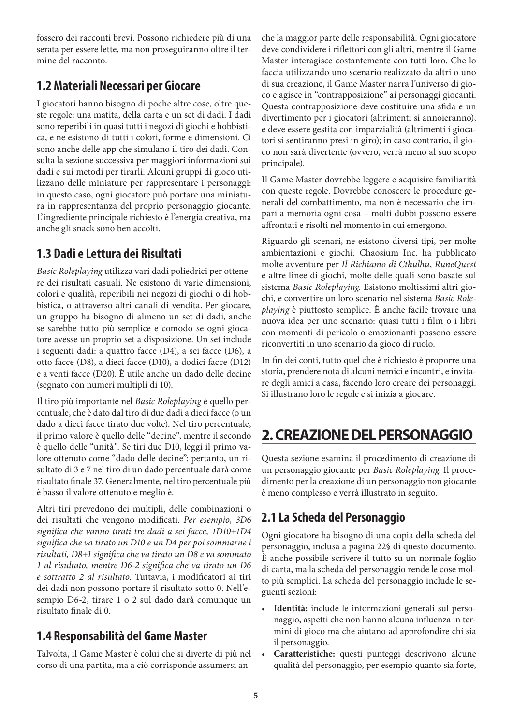fossero dei racconti brevi. Possono richiedere più di una serata per essere lette, ma non proseguiranno oltre il termine del racconto.

## **1.2 Materiali Necessari per Giocare**

I giocatori hanno bisogno di poche altre cose, oltre queste regole: una matita, della carta e un set di dadi. I dadi sono reperibili in quasi tutti i negozi di giochi e hobbistica, e ne esistono di tutti i colori, forme e dimensioni. Ci sono anche delle app che simulano il tiro dei dadi. Consulta la sezione successiva per maggiori informazioni sui dadi e sui metodi per tirarli. Alcuni gruppi di gioco utilizzano delle miniature per rappresentare i personaggi: in questo caso, ogni giocatore può portare una miniatura in rappresentanza del proprio personaggio giocante. L'ingrediente principale richiesto è l'energia creativa, ma anche gli snack sono ben accolti.

## **1.3 Dadi e Lettura dei Risultati**

*Basic Roleplaying* utilizza vari dadi poliedrici per ottenere dei risultati casuali. Ne esistono di varie dimensioni, colori e qualità, reperibili nei negozi di giochi o di hobbistica, o attraverso altri canali di vendita. Per giocare, un gruppo ha bisogno di almeno un set di dadi, anche se sarebbe tutto più semplice e comodo se ogni giocatore avesse un proprio set a disposizione. Un set include i seguenti dadi: a quattro facce (D4), a sei facce (D6), a otto facce (D8), a dieci facce (D10), a dodici facce (D12) e a venti facce (D20). È utile anche un dado delle decine (segnato con numeri multipli di 10).

Il tiro più importante nel *Basic Roleplaying* è quello percentuale, che è dato dal tiro di due dadi a dieci facce (o un dado a dieci facce tirato due volte). Nel tiro percentuale, il primo valore è quello delle "decine", mentre il secondo è quello delle "unità". Se tiri due D10, leggi il primo valore ottenuto come "dado delle decine": pertanto, un risultato di 3 e 7 nel tiro di un dado percentuale darà come risultato finale 37. Generalmente, nel tiro percentuale più è basso il valore ottenuto e meglio è.

Altri tiri prevedono dei multipli, delle combinazioni o dei risultati che vengono modificati. *Per esempio, 3D6 significa che vanno tirati tre dadi a sei facce, 1D10+1D4 significa che va tirato un D10 e un D4 per poi sommarne i risultati, D8+1 significa che va tirato un D8 e va sommato 1 al risultato, mentre D6-2 significa che va tirato un D6 e sottratto 2 al risultato*. Tuttavia, i modificatori ai tiri dei dadi non possono portare il risultato sotto 0. Nell'esempio D6-2, tirare 1 o 2 sul dado darà comunque un risultato finale di 0.

## **1.4 Responsabilità del Game Master**

Talvolta, il Game Master è colui che si diverte di più nel corso di una partita, ma a ciò corrisponde assumersi anche la maggior parte delle responsabilità. Ogni giocatore deve condividere i riflettori con gli altri, mentre il Game Master interagisce costantemente con tutti loro. Che lo faccia utilizzando uno scenario realizzato da altri o uno di sua creazione, il Game Master narra l'universo di gioco e agisce in "contrapposizione" ai personaggi giocanti. Questa contrapposizione deve costituire una sfida e un divertimento per i giocatori (altrimenti si annoieranno), e deve essere gestita con imparzialità (altrimenti i giocatori si sentiranno presi in giro); in caso contrario, il gioco non sarà divertente (ovvero, verrà meno al suo scopo principale).

Il Game Master dovrebbe leggere e acquisire familiarità con queste regole. Dovrebbe conoscere le procedure generali del combattimento, ma non è necessario che impari a memoria ogni cosa – molti dubbi possono essere affrontati e risolti nel momento in cui emergono.

Riguardo gli scenari, ne esistono diversi tipi, per molte ambientazioni e giochi. Chaosium Inc. ha pubblicato molte avventure per *Il Richiamo di Cthulhu*, *RuneQuest* e altre linee di giochi, molte delle quali sono basate sul sistema *Basic Roleplaying*. Esistono moltissimi altri giochi, e convertire un loro scenario nel sistema *Basic Roleplaying* è piuttosto semplice. È anche facile trovare una nuova idea per uno scenario: quasi tutti i film o i libri con momenti di pericolo o emozionanti possono essere riconvertiti in uno scenario da gioco di ruolo.

In fin dei conti, tutto quel che è richiesto è proporre una storia, prendere nota di alcuni nemici e incontri, e invitare degli amici a casa, facendo loro creare dei personaggi. Si illustrano loro le regole e si inizia a giocare.

# **2. CREAZIONE DEL PERSONAGGIO**

Questa sezione esamina il procedimento di creazione di un personaggio giocante per *Basic Roleplaying*. Il procedimento per la creazione di un personaggio non giocante è meno complesso e verrà illustrato in seguito.

## **2.1 La Scheda del Personaggio**

Ogni giocatore ha bisogno di una copia della scheda del personaggio, inclusa a pagina 22§ di questo documento. È anche possibile scrivere il tutto su un normale foglio di carta, ma la scheda del personaggio rende le cose molto più semplici. La scheda del personaggio include le seguenti sezioni:

- **Identità:** include le informazioni generali sul personaggio, aspetti che non hanno alcuna influenza in termini di gioco ma che aiutano ad approfondire chi sia il personaggio.
- **Caratteristiche:** questi punteggi descrivono alcune qualità del personaggio, per esempio quanto sia forte,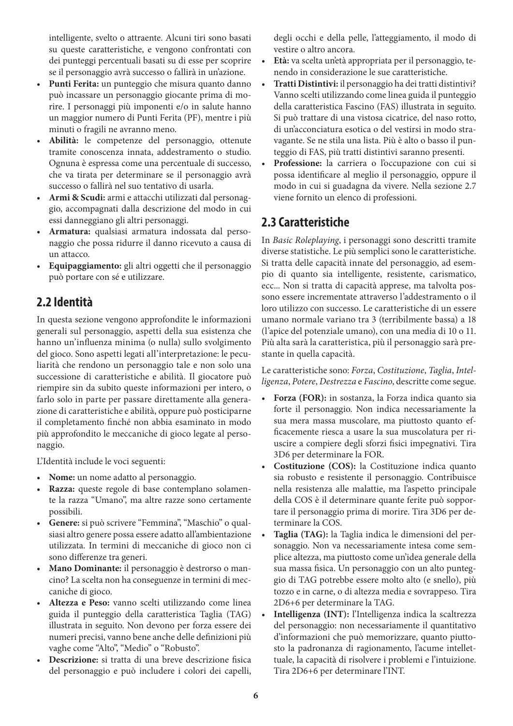intelligente, svelto o attraente. Alcuni tiri sono basati su queste caratteristiche, e vengono confrontati con dei punteggi percentuali basati su di esse per scoprire se il personaggio avrà successo o fallirà in un'azione.

- **Punti Ferita:** un punteggio che misura quanto danno può incassare un personaggio giocante prima di morire. I personaggi più imponenti e/o in salute hanno un maggior numero di Punti Ferita (PF), mentre i più minuti o fragili ne avranno meno.
- **Abilità:** le competenze del personaggio, ottenute tramite conoscenza innata, addestramento o studio. Ognuna è espressa come una percentuale di successo, che va tirata per determinare se il personaggio avrà successo o fallirà nel suo tentativo di usarla.
- **Armi & Scudi:** armi e attacchi utilizzati dal personaggio, accompagnati dalla descrizione del modo in cui essi danneggiano gli altri personaggi.
- **Armatura:** qualsiasi armatura indossata dal personaggio che possa ridurre il danno ricevuto a causa di un attacco.
- **Equipaggiamento:** gli altri oggetti che il personaggio può portare con sé e utilizzare.

## **2.2 Identità**

In questa sezione vengono approfondite le informazioni generali sul personaggio, aspetti della sua esistenza che hanno un'influenza minima (o nulla) sullo svolgimento del gioco. Sono aspetti legati all'interpretazione: le peculiarità che rendono un personaggio tale e non solo una successione di caratteristiche e abilità. Il giocatore può riempire sin da subito queste informazioni per intero, o farlo solo in parte per passare direttamente alla generazione di caratteristiche e abilità, oppure può posticiparne il completamento finché non abbia esaminato in modo più approfondito le meccaniche di gioco legate al personaggio.

L'Identità include le voci seguenti:

- **Nome:** un nome adatto al personaggio.
- **Razza:** queste regole di base contemplano solamente la razza "Umano", ma altre razze sono certamente possibili.
- **Genere:** si può scrivere "Femmina", "Maschio" o qualsiasi altro genere possa essere adatto all'ambientazione utilizzata. In termini di meccaniche di gioco non ci sono differenze tra generi.
- **Mano Dominante:** il personaggio è destrorso o mancino? La scelta non ha conseguenze in termini di meccaniche di gioco.
- **Altezza e Peso:** vanno scelti utilizzando come linea guida il punteggio della caratteristica Taglia (TAG) illustrata in seguito. Non devono per forza essere dei numeri precisi, vanno bene anche delle definizioni più vaghe come "Alto", "Medio" o "Robusto".
- **Descrizione:** si tratta di una breve descrizione fisica del personaggio e può includere i colori dei capelli,

degli occhi e della pelle, l'atteggiamento, il modo di vestire o altro ancora.

- **Età:** va scelta un'età appropriata per il personaggio, tenendo in considerazione le sue caratteristiche.
- **Tratti Distintivi:** il personaggio ha dei tratti distintivi? Vanno scelti utilizzando come linea guida il punteggio della caratteristica Fascino (FAS) illustrata in seguito. Si può trattare di una vistosa cicatrice, del naso rotto, di un'acconciatura esotica o del vestirsi in modo stravagante. Se ne stila una lista. Più è alto o basso il punteggio di FAS, più tratti distintivi saranno presenti.
- **Professione:** la carriera o l'occupazione con cui si possa identificare al meglio il personaggio, oppure il modo in cui si guadagna da vivere. Nella sezione 2.7 viene fornito un elenco di professioni.

## **2.3 Caratteristiche**

In *Basic Roleplaying*, i personaggi sono descritti tramite diverse statistiche. Le più semplici sono le caratteristiche. Si tratta delle capacità innate del personaggio, ad esempio di quanto sia intelligente, resistente, carismatico, ecc... Non si tratta di capacità apprese, ma talvolta possono essere incrementate attraverso l'addestramento o il loro utilizzo con successo. Le caratteristiche di un essere umano normale variano tra 3 (terribilmente bassa) a 18 (l'apice del potenziale umano), con una media di 10 o 11. Più alta sarà la caratteristica, più il personaggio sarà prestante in quella capacità.

Le caratteristiche sono: *Forza*, *Costituzione*, *Taglia*, *Intelligenza*, *Potere*, *Destrezza* e *Fascino*, descritte come segue.

- **Forza (FOR):** in sostanza, la Forza indica quanto sia forte il personaggio. Non indica necessariamente la sua mera massa muscolare, ma piuttosto quanto efficacemente riesca a usare la sua muscolatura per riuscire a compiere degli sforzi fisici impegnativi. Tira 3D6 per determinare la FOR.
- **Costituzione (COS):** la Costituzione indica quanto sia robusto e resistente il personaggio. Contribuisce nella resistenza alle malattie, ma l'aspetto principale della COS è il determinare quante ferite può sopportare il personaggio prima di morire. Tira 3D6 per determinare la COS.
- **Taglia (TAG):** la Taglia indica le dimensioni del personaggio. Non va necessariamente intesa come semplice altezza, ma piuttosto come un'idea generale della sua massa fisica. Un personaggio con un alto punteggio di TAG potrebbe essere molto alto (e snello), più tozzo e in carne, o di altezza media e sovrappeso. Tira 2D6+6 per determinare la TAG.
- **Intelligenza (INT):** l'Intelligenza indica la scaltrezza del personaggio: non necessariamente il quantitativo d'informazioni che può memorizzare, quanto piuttosto la padronanza di ragionamento, l'acume intellettuale, la capacità di risolvere i problemi e l'intuizione. Tira 2D6+6 per determinare l'INT.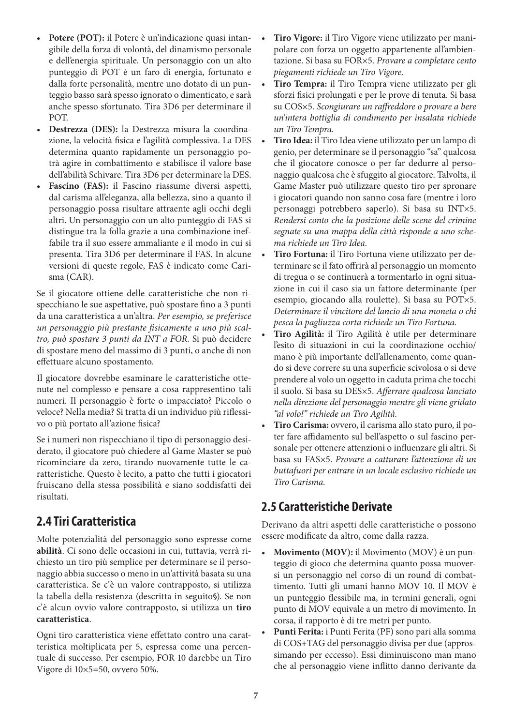- **Potere (POT):** il Potere è un'indicazione quasi intangibile della forza di volontà, del dinamismo personale e dell'energia spirituale. Un personaggio con un alto punteggio di POT è un faro di energia, fortunato e dalla forte personalità, mentre uno dotato di un punteggio basso sarà spesso ignorato o dimenticato, e sarà anche spesso sfortunato. Tira 3D6 per determinare il POT.
- **Destrezza (DES):** la Destrezza misura la coordinazione, la velocità fisica e l'agilità complessiva. La DES determina quanto rapidamente un personaggio potrà agire in combattimento e stabilisce il valore base dell'abilità Schivare. Tira 3D6 per determinare la DES.
- **Fascino (FAS):** il Fascino riassume diversi aspetti, dal carisma all'eleganza, alla bellezza, sino a quanto il personaggio possa risultare attraente agli occhi degli altri. Un personaggio con un alto punteggio di FAS si distingue tra la folla grazie a una combinazione ineffabile tra il suo essere ammaliante e il modo in cui si presenta. Tira 3D6 per determinare il FAS. In alcune versioni di queste regole, FAS è indicato come Carisma (CAR).

Se il giocatore ottiene delle caratteristiche che non rispecchiano le sue aspettative, può spostare fino a 3 punti da una caratteristica a un'altra. *Per esempio, se preferisce un personaggio più prestante fisicamente a uno più scaltro, può spostare 3 punti da INT a FOR.* Si può decidere di spostare meno del massimo di 3 punti, o anche di non effettuare alcuno spostamento.

Il giocatore dovrebbe esaminare le caratteristiche ottenute nel complesso e pensare a cosa rappresentino tali numeri. Il personaggio è forte o impacciato? Piccolo o veloce? Nella media? Si tratta di un individuo più riflessivo o più portato all'azione fisica?

Se i numeri non rispecchiano il tipo di personaggio desiderato, il giocatore può chiedere al Game Master se può ricominciare da zero, tirando nuovamente tutte le caratteristiche. Questo è lecito, a patto che tutti i giocatori fruiscano della stessa possibilità e siano soddisfatti dei risultati.

## **2.4 Tiri Caratteristica**

Molte potenzialità del personaggio sono espresse come **abilità**. Ci sono delle occasioni in cui, tuttavia, verrà richiesto un tiro più semplice per determinare se il personaggio abbia successo o meno in un'attività basata su una caratteristica. Se c'è un valore contrapposto, si utilizza la tabella della resistenza (descritta in seguito§). Se non c'è alcun ovvio valore contrapposto, si utilizza un **tiro caratteristica**.

Ogni tiro caratteristica viene effettato contro una caratteristica moltiplicata per 5, espressa come una percentuale di successo. Per esempio, FOR 10 darebbe un Tiro Vigore di 10×5=50, ovvero 50%.

- **Tiro Vigore:** il Tiro Vigore viene utilizzato per manipolare con forza un oggetto appartenente all'ambientazione. Si basa su FOR×5. *Provare a completare cento piegamenti richiede un Tiro Vigore.*
- **Tiro Tempra:** il Tiro Tempra viene utilizzato per gli sforzi fisici prolungati e per le prove di tenuta. Si basa su COS×5. *Scongiurare un raffreddore o provare a bere un'intera bottiglia di condimento per insalata richiede un Tiro Tempra.*
- **Tiro Idea:** il Tiro Idea viene utilizzato per un lampo di genio, per determinare se il personaggio "sa" qualcosa che il giocatore conosce o per far dedurre al personaggio qualcosa che è sfuggito al giocatore. Talvolta, il Game Master può utilizzare questo tiro per spronare i giocatori quando non sanno cosa fare (mentre i loro personaggi potrebbero saperlo). Si basa su INT×5. *Rendersi conto che la posizione delle scene del crimine segnate su una mappa della città risponde a uno schema richiede un Tiro Idea.*
- **Tiro Fortuna:** il Tiro Fortuna viene utilizzato per determinare se il fato offrirà al personaggio un momento di tregua o se continuerà a tormentarlo in ogni situazione in cui il caso sia un fattore determinante (per esempio, giocando alla roulette). Si basa su POT×5. *Determinare il vincitore del lancio di una moneta o chi pesca la pagliuzza corta richiede un Tiro Fortuna.*
- **Tiro Agilità:** il Tiro Agilità è utile per determinare l'esito di situazioni in cui la coordinazione occhio/ mano è più importante dell'allenamento, come quando si deve correre su una superficie scivolosa o si deve prendere al volo un oggetto in caduta prima che tocchi il suolo. Si basa su DES×5. *Afferrare qualcosa lanciato nella direzione del personaggio mentre gli viene gridato "al volo!" richiede un Tiro Agilità.*
- **Tiro Carisma:** ovvero, il carisma allo stato puro, il poter fare affidamento sul bell'aspetto o sul fascino personale per ottenere attenzioni o influenzare gli altri. Si basa su FAS×5. *Provare a catturare l'attenzione di un buttafuori per entrare in un locale esclusivo richiede un Tiro Carisma.*

## **2.5 Caratteristiche Derivate**

Derivano da altri aspetti delle caratteristiche o possono essere modificate da altro, come dalla razza.

- **Movimento (MOV):** il Movimento (MOV) è un punteggio di gioco che determina quanto possa muoversi un personaggio nel corso di un round di combattimento. Tutti gli umani hanno MOV 10. Il MOV è un punteggio flessibile ma, in termini generali, ogni punto di MOV equivale a un metro di movimento. In corsa, il rapporto è di tre metri per punto.
- **Punti Ferita:** i Punti Ferita (PF) sono pari alla somma di COS+TAG del personaggio divisa per due (approssimando per eccesso). Essi diminuiscono man mano che al personaggio viene inflitto danno derivante da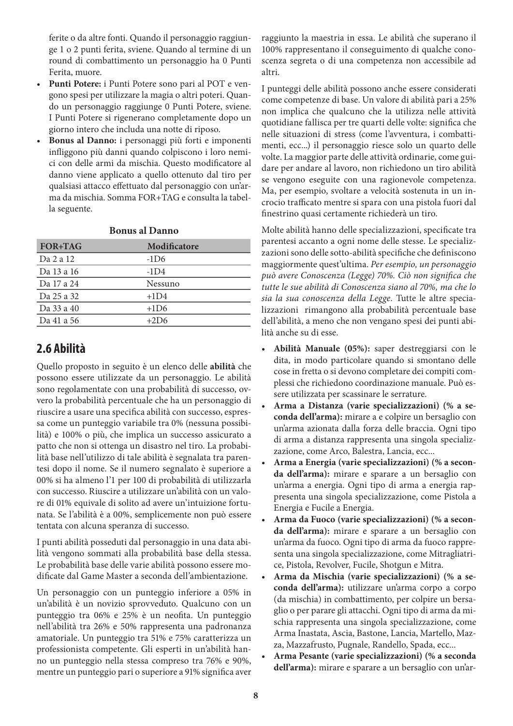ferite o da altre fonti. Quando il personaggio raggiunge 1 o 2 punti ferita, sviene. Quando al termine di un round di combattimento un personaggio ha 0 Punti Ferita, muore.

- **Punti Potere:** i Punti Potere sono pari al POT e vengono spesi per utilizzare la magia o altri poteri. Quando un personaggio raggiunge 0 Punti Potere, sviene. I Punti Potere si rigenerano completamente dopo un giorno intero che includa una notte di riposo.
- **Bonus al Danno:** i personaggi più forti e imponenti infliggono più danni quando colpiscono i loro nemici con delle armi da mischia. Questo modificatore al danno viene applicato a quello ottenuto dal tiro per qualsiasi attacco effettuato dal personaggio con un'arma da mischia. Somma FOR+TAG e consulta la tabella seguente.

| FOR+TAG    | Modificatore |
|------------|--------------|
| Da 2 a 12  | $-1D6$       |
| Da 13 a 16 | $-1D4$       |
| Da 17 a 24 | Nessuno      |
| Da 25 a 32 | $+1D4$       |
| Da 33 a 40 | $+1D6$       |
| Da 41 a 56 | $+2D6$       |
|            |              |

#### **Bonus al Danno**

#### **2.6 Abilità**

Quello proposto in seguito è un elenco delle **abilità** che possono essere utilizzate da un personaggio. Le abilità sono regolamentate con una probabilità di successo, ovvero la probabilità percentuale che ha un personaggio di riuscire a usare una specifica abilità con successo, espressa come un punteggio variabile tra 0% (nessuna possibilità) e 100% o più, che implica un successo assicurato a patto che non si ottenga un disastro nel tiro. La probabilità base nell'utilizzo di tale abilità è segnalata tra parentesi dopo il nome. Se il numero segnalato è superiore a 00% si ha almeno l'1 per 100 di probabilità di utilizzarla con successo. Riuscire a utilizzare un'abilità con un valore di 01% equivale di solito ad avere un'intuizione fortunata. Se l'abilità è a 00%, semplicemente non può essere tentata con alcuna speranza di successo.

I punti abilità posseduti dal personaggio in una data abilità vengono sommati alla probabilità base della stessa. Le probabilità base delle varie abilità possono essere modificate dal Game Master a seconda dell'ambientazione.

Un personaggio con un punteggio inferiore a 05% in un'abilità è un novizio sprovveduto. Qualcuno con un punteggio tra 06% e 25% è un neofita. Un punteggio nell'abilità tra 26% e 50% rappresenta una padronanza amatoriale. Un punteggio tra 51% e 75% caratterizza un professionista competente. Gli esperti in un'abilità hanno un punteggio nella stessa compreso tra 76% e 90%, mentre un punteggio pari o superiore a 91% significa aver

raggiunto la maestria in essa. Le abilità che superano il 100% rappresentano il conseguimento di qualche conoscenza segreta o di una competenza non accessibile ad altri.

I punteggi delle abilità possono anche essere considerati come competenze di base. Un valore di abilità pari a 25% non implica che qualcuno che la utilizza nelle attività quotidiane fallisca per tre quarti delle volte: significa che nelle situazioni di stress (come l'avventura, i combattimenti, ecc...) il personaggio riesce solo un quarto delle volte. La maggior parte delle attività ordinarie, come guidare per andare al lavoro, non richiedono un tiro abilità se vengono eseguite con una ragionevole competenza. Ma, per esempio, svoltare a velocità sostenuta in un incrocio trafficato mentre si spara con una pistola fuori dal finestrino quasi certamente richiederà un tiro.

Molte abilità hanno delle specializzazioni, specificate tra parentesi accanto a ogni nome delle stesse. Le specializzazioni sono delle sotto-abilità specifiche che definiscono maggiormente quest'ultima. *Per esempio, un personaggio può avere Conoscenza (Legge) 70%. Ciò non significa che tutte le sue abilità di Conoscenza siano al 70%, ma che lo sia la sua conoscenza della Legge.* Tutte le altre specializzazioni rimangono alla probabilità percentuale base dell'abilità, a meno che non vengano spesi dei punti abilità anche su di esse.

- **Abilità Manuale (05%):** saper destreggiarsi con le dita, in modo particolare quando si smontano delle cose in fretta o si devono completare dei compiti complessi che richiedono coordinazione manuale. Può essere utilizzata per scassinare le serrature.
- **Arma a Distanza (varie specializzazioni) (% a seconda dell'arma):** mirare a e colpire un bersaglio con un'arma azionata dalla forza delle braccia. Ogni tipo di arma a distanza rappresenta una singola specializzazione, come Arco, Balestra, Lancia, ecc...
- **Arma a Energia (varie specializzazioni) (% a seconda dell'arma):** mirare e sparare a un bersaglio con un'arma a energia. Ogni tipo di arma a energia rappresenta una singola specializzazione, come Pistola a Energia e Fucile a Energia.
- **Arma da Fuoco (varie specializzazioni) (% a seconda dell'arma):** mirare e sparare a un bersaglio con un'arma da fuoco. Ogni tipo di arma da fuoco rappresenta una singola specializzazione, come Mitragliatrice, Pistola, Revolver, Fucile, Shotgun e Mitra.
- **Arma da Mischia (varie specializzazioni) (% a seconda dell'arma):** utilizzare un'arma corpo a corpo (da mischia) in combattimento, per colpire un bersaglio o per parare gli attacchi. Ogni tipo di arma da mischia rappresenta una singola specializzazione, come Arma Inastata, Ascia, Bastone, Lancia, Martello, Mazza, Mazzafrusto, Pugnale, Randello, Spada, ecc...
- **Arma Pesante (varie specializzazioni) (% a seconda dell'arma):** mirare e sparare a un bersaglio con un'ar-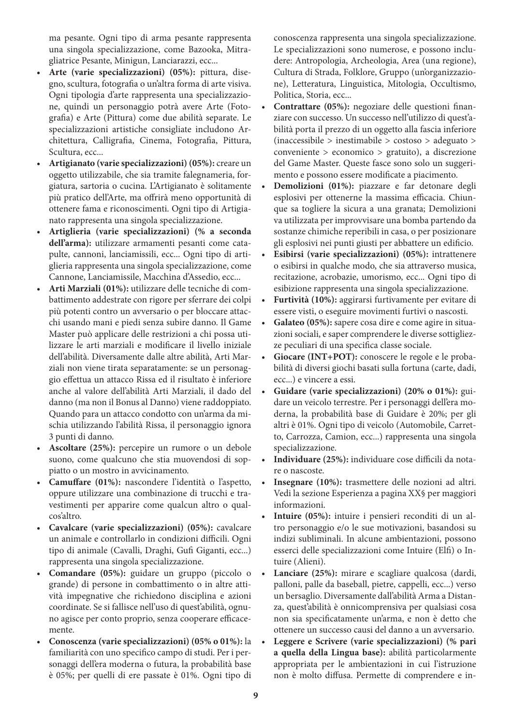ma pesante. Ogni tipo di arma pesante rappresenta una singola specializzazione, come Bazooka, Mitragliatrice Pesante, Minigun, Lanciarazzi, ecc...

- **Arte (varie specializzazioni) (05%):** pittura, disegno, scultura, fotografia o un'altra forma di arte visiva. Ogni tipologia d'arte rappresenta una specializzazione, quindi un personaggio potrà avere Arte (Fotografia) e Arte (Pittura) come due abilità separate. Le specializzazioni artistiche consigliate includono Architettura, Calligrafia, Cinema, Fotografia, Pittura, Scultura, ecc...
- **Artigianato (varie specializzazioni) (05%):** creare un oggetto utilizzabile, che sia tramite falegnameria, forgiatura, sartoria o cucina. L'Artigianato è solitamente più pratico dell'Arte, ma offrirà meno opportunità di ottenere fama e riconoscimenti. Ogni tipo di Artigianato rappresenta una singola specializzazione.
- **Artiglieria (varie specializzazioni) (% a seconda dell'arma):** utilizzare armamenti pesanti come catapulte, cannoni, lanciamissili, ecc... Ogni tipo di artiglieria rappresenta una singola specializzazione, come Cannone, Lanciamissile, Macchina d'Assedio, ecc...
- **Arti Marziali (01%):** utilizzare delle tecniche di combattimento addestrate con rigore per sferrare dei colpi più potenti contro un avversario o per bloccare attacchi usando mani e piedi senza subire danno. Il Game Master può applicare delle restrizioni a chi possa utilizzare le arti marziali e modificare il livello iniziale dell'abilità. Diversamente dalle altre abilità, Arti Marziali non viene tirata separatamente: se un personaggio effettua un attacco Rissa ed il risultato è inferiore anche al valore dell'abilità Arti Marziali, il dado del danno (ma non il Bonus al Danno) viene raddoppiato. Quando para un attacco condotto con un'arma da mischia utilizzando l'abilità Rissa, il personaggio ignora 3 punti di danno.
- **Ascoltare (25%):** percepire un rumore o un debole suono, come qualcuno che stia muovendosi di soppiatto o un mostro in avvicinamento.
- **Camuffare (01%):** nascondere l'identità o l'aspetto, oppure utilizzare una combinazione di trucchi e travestimenti per apparire come qualcun altro o qualcos'altro.
- **Cavalcare (varie specializzazioni) (05%):** cavalcare un animale e controllarlo in condizioni difficili. Ogni tipo di animale (Cavalli, Draghi, Gufi Giganti, ecc...) rappresenta una singola specializzazione.
- **Comandare (05%):** guidare un gruppo (piccolo o grande) di persone in combattimento o in altre attività impegnative che richiedono disciplina e azioni coordinate. Se si fallisce nell'uso di quest'abilità, ognuno agisce per conto proprio, senza cooperare efficacemente.
- **Conoscenza (varie specializzazioni) (05% o 01%):** la familiarità con uno specifico campo di studi. Per i personaggi dell'era moderna o futura, la probabilità base è 05%; per quelli di ere passate è 01%. Ogni tipo di

conoscenza rappresenta una singola specializzazione. Le specializzazioni sono numerose, e possono includere: Antropologia, Archeologia, Area (una regione), Cultura di Strada, Folklore, Gruppo (un'organizzazione), Letteratura, Linguistica, Mitologia, Occultismo, Politica, Storia, ecc...

- **Contrattare (05%):** negoziare delle questioni finanziare con successo. Un successo nell'utilizzo di quest'abilità porta il prezzo di un oggetto alla fascia inferiore (inaccessibile > inestimabile > costoso > adeguato > conveniente > economico > gratuito), a discrezione del Game Master. Queste fasce sono solo un suggerimento e possono essere modificate a piacimento.
- **Demolizioni (01%):** piazzare e far detonare degli esplosivi per ottenerne la massima efficacia. Chiunque sa togliere la sicura a una granata; Demolizioni va utilizzata per improvvisare una bomba partendo da sostanze chimiche reperibili in casa, o per posizionare gli esplosivi nei punti giusti per abbattere un edificio.
- **Esibirsi (varie specializzazioni) (05%):** intrattenere o esibirsi in qualche modo, che sia attraverso musica, recitazione, acrobazie, umorismo, ecc... Ogni tipo di esibizione rappresenta una singola specializzazione.
- **Furtività (10%):** aggirarsi furtivamente per evitare di essere visti, o eseguire movimenti furtivi o nascosti.
- **Galateo (05%):** sapere cosa dire e come agire in situazioni sociali, e saper comprendere le diverse sottigliezze peculiari di una specifica classe sociale.
- Giocare (INT+POT): conoscere le regole e le probabilità di diversi giochi basati sulla fortuna (carte, dadi, ecc...) e vincere a essi.
- **Guidare (varie specializzazioni) (20% o 01%):** guidare un veicolo terrestre. Per i personaggi dell'era moderna, la probabilità base di Guidare è 20%; per gli altri è 01%. Ogni tipo di veicolo (Automobile, Carretto, Carrozza, Camion, ecc...) rappresenta una singola specializzazione.
- **Individuare (25%):** individuare cose difficili da notare o nascoste.
- **Insegnare (10%):** trasmettere delle nozioni ad altri. Vedi la sezione Esperienza a pagina XX§ per maggiori informazioni.
- Intuire (05%): intuire i pensieri reconditi di un altro personaggio e/o le sue motivazioni, basandosi su indizi subliminali. In alcune ambientazioni, possono esserci delle specializzazioni come Intuire (Elfi) o Intuire (Alieni).
- **Lanciare (25%):** mirare e scagliare qualcosa (dardi, palloni, palle da baseball, pietre, cappelli, ecc...) verso un bersaglio. Diversamente dall'abilità Arma a Distanza, quest'abilità è onnicomprensiva per qualsiasi cosa non sia specificatamente un'arma, e non è detto che ottenere un successo causi del danno a un avversario.
- **Leggere e Scrivere (varie specializzazioni) (% pari a quella della Lingua base):** abilità particolarmente appropriata per le ambientazioni in cui l'istruzione non è molto diffusa. Permette di comprendere e in-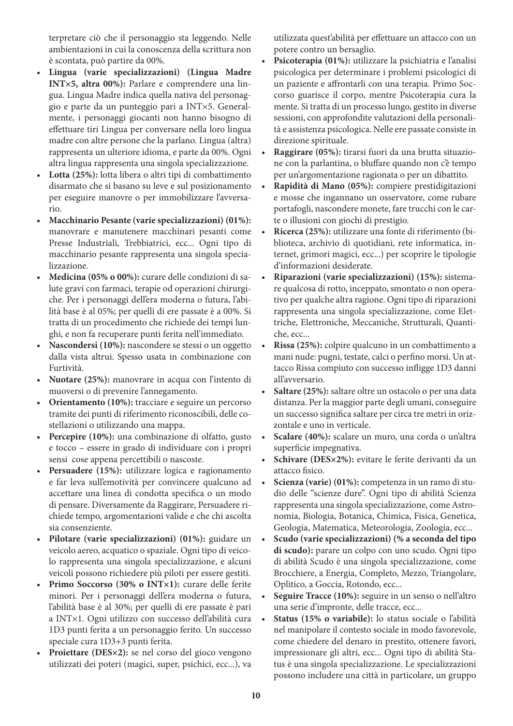terpretare ciò che il personaggio sta leggendo. Nelle ambientazioni in cui la conoscenza della scrittura non è scontata, può partire da 00%.

- **Lingua (varie specializzazioni) (Lingua Madre INT×5, altra 00%):** Parlare e comprendere una lingua. Lingua Madre indica quella nativa del personaggio e parte da un punteggio pari a INT×5. Generalmente, i personaggi giocanti non hanno bisogno di effettuare tiri Lingua per conversare nella loro lingua madre con altre persone che la parlano. Lingua (altra) rappresenta un ulteriore idioma, e parte da 00%. Ogni altra lingua rappresenta una singola specializzazione.
- **Lotta (25%):** lotta libera o altri tipi di combattimento disarmato che si basano su leve e sul posizionamento per eseguire manovre o per immobilizzare l'avversario.
- **Macchinario Pesante (varie specializzazioni) (01%):** manovrare e manutenere macchinari pesanti come Presse Industriali, Trebbiatrici, ecc... Ogni tipo di macchinario pesante rappresenta una singola specializzazione.
- **Medicina (05% o 00%):** curare delle condizioni di salute gravi con farmaci, terapie od operazioni chirurgiche. Per i personaggi dell'era moderna o futura, l'abilità base è al 05%; per quelli di ere passate è a 00%. Si tratta di un procedimento che richiede dei tempi lunghi, e non fa recuperare punti ferita nell'immediato.
- **Nascondersi (10%):** nascondere se stessi o un oggetto dalla vista altrui. Spesso usata in combinazione con Furtività.
- **Nuotare (25%):** manovrare in acqua con l'intento di muoversi o di prevenire l'annegamento.
- **Orientamento (10%):** tracciare e seguire un percorso tramite dei punti di riferimento riconoscibili, delle costellazioni o utilizzando una mappa.
- Percepire (10%): una combinazione di olfatto, gusto e tocco – essere in grado di individuare con i propri sensi cose appena percettibili o nascoste.
- **Persuadere (15%):** utilizzare logica e ragionamento e far leva sull'emotività per convincere qualcuno ad accettare una linea di condotta specifica o un modo di pensare. Diversamente da Raggirare, Persuadere richiede tempo, argomentazioni valide e che chi ascolta sia consenziente.
- **Pilotare (varie specializzazioni) (01%):** guidare un veicolo aereo, acquatico o spaziale. Ogni tipo di veicolo rappresenta una singola specializzazione, e alcuni veicoli possono richiedere più piloti per essere gestiti.
- Primo Soccorso (30% o INT×1): curare delle ferite minori. Per i personaggi dell'era moderna o futura, l'abilità base è al 30%; per quelli di ere passate è pari a INT×1. Ogni utilizzo con successo dell'abilità cura 1D3 punti ferita a un personaggio ferito. Un successo speciale cura 1D3+3 punti ferita.
- **Proiettare (DES×2):** se nel corso del gioco vengono utilizzati dei poteri (magici, super, psichici, ecc...), va

utilizzata quest'abilità per effettuare un attacco con un potere contro un bersaglio.

- **Psicoterapia (01%):** utilizzare la psichiatria e l'analisi psicologica per determinare i problemi psicologici di un paziente e affrontarli con una terapia. Primo Soccorso guarisce il corpo, mentre Psicoterapia cura la mente. Si tratta di un processo lungo, gestito in diverse sessioni, con approfondite valutazioni della personalità e assistenza psicologica. Nelle ere passate consiste in direzione spirituale.
- **Raggirare (05%):** tirarsi fuori da una brutta situazione con la parlantina, o bluffare quando non c'è tempo per un'argomentazione ragionata o per un dibattito.
- **Rapidità di Mano (05%):** compiere prestidigitazioni e mosse che ingannano un osservatore, come rubare portafogli, nascondere monete, fare trucchi con le carte o illusioni con giochi di prestigio.
- **Ricerca (25%):** utilizzare una fonte di riferimento (biblioteca, archivio di quotidiani, rete informatica, internet, grimori magici, ecc...) per scoprire le tipologie d'informazioni desiderate.
- **Riparazioni (varie specializzazioni) (15%):** sistemare qualcosa di rotto, inceppato, smontato o non operativo per qualche altra ragione. Ogni tipo di riparazioni rappresenta una singola specializzazione, come Elettriche, Elettroniche, Meccaniche, Strutturali, Quantiche, ecc...
- **Rissa (25%):** colpire qualcuno in un combattimento a mani nude: pugni, testate, calci o perfino morsi. Un attacco Rissa compiuto con successo infligge 1D3 danni all'avversario.
- **Saltare (25%):** saltare oltre un ostacolo o per una data distanza. Per la maggior parte degli umani, conseguire un successo significa saltare per circa tre metri in orizzontale e uno in verticale.
- **Scalare (40%):** scalare un muro, una corda o un'altra superficie impegnativa.
- **Schivare (DES×2%):** evitare le ferite derivanti da un attacco fisico.
- **Scienza (varie) (01%):** competenza in un ramo di studio delle "scienze dure". Ogni tipo di abilità Scienza rappresenta una singola specializzazione, come Astronomia, Biologia, Botanica, Chimica, Fisica, Genetica, Geologia, Matematica, Meteorologia, Zoologia, ecc...
- **Scudo (varie specializzazioni) (% a seconda del tipo di scudo):** parare un colpo con uno scudo. Ogni tipo di abilità Scudo è una singola specializzazione, come Brocchiere, a Energia, Completo, Mezzo, Triangolare, Oplitico, a Goccia, Rotondo, ecc...
- **Seguire Tracce (10%):** seguire in un senso o nell'altro una serie d'impronte, delle tracce, ecc...
- **Status (15% o variabile):** lo status sociale o l'abilità nel manipolare il contesto sociale in modo favorevole, come chiedere del denaro in prestito, ottenere favori, impressionare gli altri, ecc... Ogni tipo di abilità Status è una singola specializzazione. Le specializzazioni possono includere una città in particolare, un gruppo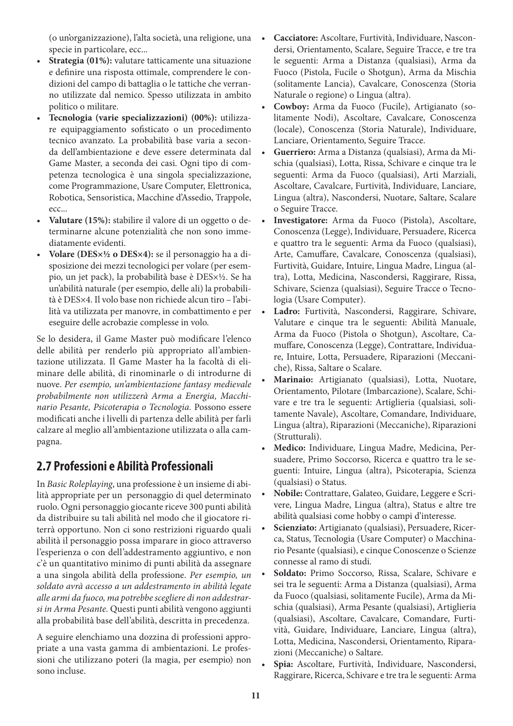(o un'organizzazione), l'alta società, una religione, una specie in particolare, ecc...

- **Strategia (01%):** valutare tatticamente una situazione e definire una risposta ottimale, comprendere le condizioni del campo di battaglia o le tattiche che verranno utilizzate dal nemico. Spesso utilizzata in ambito politico o militare.
- **Tecnologia (varie specializzazioni) (00%):** utilizzare equipaggiamento sofisticato o un procedimento tecnico avanzato. La probabilità base varia a seconda dell'ambientazione e deve essere determinata dal Game Master, a seconda dei casi. Ogni tipo di competenza tecnologica è una singola specializzazione, come Programmazione, Usare Computer, Elettronica, Robotica, Sensoristica, Macchine d'Assedio, Trappole, ecc...
- **Valutare (15%):** stabilire il valore di un oggetto o determinarne alcune potenzialità che non sono immediatamente evidenti.
- **Volare (DES×½ o DES×4):** se il personaggio ha a disposizione dei mezzi tecnologici per volare (per esempio, un jet pack), la probabilità base è DES×½. Se ha un'abilità naturale (per esempio, delle ali) la probabilità è DES×4. Il volo base non richiede alcun tiro - l'abilità va utilizzata per manovre, in combattimento e per eseguire delle acrobazie complesse in volo.

Se lo desidera, il Game Master può modificare l'elenco delle abilità per renderlo più appropriato all'ambientazione utilizzata. Il Game Master ha la facoltà di eliminare delle abilità, di rinominarle o di introdurne di nuove. *Per esempio, un'ambientazione fantasy medievale probabilmente non utilizzerà Arma a Energia, Macchinario Pesante, Psicoterapia o Tecnologia.* Possono essere modificati anche i livelli di partenza delle abilità per farli calzare al meglio all'ambientazione utilizzata o alla campagna.

## **2.7 Professioni e Abilità Professionali**

In *Basic Roleplaying*, una professione è un insieme di abilità appropriate per un personaggio di quel determinato ruolo. Ogni personaggio giocante riceve 300 punti abilità da distribuire su tali abilità nel modo che il giocatore riterrà opportuno. Non ci sono restrizioni riguardo quali abilità il personaggio possa imparare in gioco attraverso l'esperienza o con dell'addestramento aggiuntivo, e non c'è un quantitativo minimo di punti abilità da assegnare a una singola abilità della professione. *Per esempio, un soldato avrà accesso a un addestramento in abilità legate alle armi da fuoco, ma potrebbe scegliere di non addestrarsi in Arma Pesante.* Questi punti abilità vengono aggiunti alla probabilità base dell'abilità, descritta in precedenza.

A seguire elenchiamo una dozzina di professioni appropriate a una vasta gamma di ambientazioni. Le professioni che utilizzano poteri (la magia, per esempio) non sono incluse.

- **Cacciatore:** Ascoltare, Furtività, Individuare, Nascondersi, Orientamento, Scalare, Seguire Tracce, e tre tra le seguenti: Arma a Distanza (qualsiasi), Arma da Fuoco (Pistola, Fucile o Shotgun), Arma da Mischia (solitamente Lancia), Cavalcare, Conoscenza (Storia Naturale o regione) o Lingua (altra).
- **Cowboy:** Arma da Fuoco (Fucile), Artigianato (solitamente Nodi), Ascoltare, Cavalcare, Conoscenza (locale), Conoscenza (Storia Naturale), Individuare, Lanciare, Orientamento, Seguire Tracce.
- **Guerriero:** Arma a Distanza (qualsiasi), Arma da Mischia (qualsiasi), Lotta, Rissa, Schivare e cinque tra le seguenti: Arma da Fuoco (qualsiasi), Arti Marziali, Ascoltare, Cavalcare, Furtività, Individuare, Lanciare, Lingua (altra), Nascondersi, Nuotare, Saltare, Scalare o Seguire Tracce.
- **Investigatore:** Arma da Fuoco (Pistola), Ascoltare, Conoscenza (Legge), Individuare, Persuadere, Ricerca e quattro tra le seguenti: Arma da Fuoco (qualsiasi), Arte, Camuffare, Cavalcare, Conoscenza (qualsiasi), Furtività, Guidare, Intuire, Lingua Madre, Lingua (altra), Lotta, Medicina, Nascondersi, Raggirare, Rissa, Schivare, Scienza (qualsiasi), Seguire Tracce o Tecnologia (Usare Computer).
- **Ladro:** Furtività, Nascondersi, Raggirare, Schivare, Valutare e cinque tra le seguenti: Abilità Manuale, Arma da Fuoco (Pistola o Shotgun), Ascoltare, Camuffare, Conoscenza (Legge), Contrattare, Individuare, Intuire, Lotta, Persuadere, Riparazioni (Meccaniche), Rissa, Saltare o Scalare.
- **Marinaio:** Artigianato (qualsiasi), Lotta, Nuotare, Orientamento, Pilotare (Imbarcazione), Scalare, Schivare e tre tra le seguenti: Artiglieria (qualsiasi, solitamente Navale), Ascoltare, Comandare, Individuare, Lingua (altra), Riparazioni (Meccaniche), Riparazioni (Strutturali).
- **Medico:** Individuare, Lingua Madre, Medicina, Persuadere, Primo Soccorso, Ricerca e quattro tra le seguenti: Intuire, Lingua (altra), Psicoterapia, Scienza (qualsiasi) o Status.
- **Nobile:** Contrattare, Galateo, Guidare, Leggere e Scrivere, Lingua Madre, Lingua (altra), Status e altre tre abilità qualsiasi come hobby o campi d'interesse.
- **Scienziato:** Artigianato (qualsiasi), Persuadere, Ricerca, Status, Tecnologia (Usare Computer) o Macchinario Pesante (qualsiasi), e cinque Conoscenze o Scienze connesse al ramo di studi.
- **Soldato:** Primo Soccorso, Rissa, Scalare, Schivare e sei tra le seguenti: Arma a Distanza (qualsiasi), Arma da Fuoco (qualsiasi, solitamente Fucile), Arma da Mischia (qualsiasi), Arma Pesante (qualsiasi), Artiglieria (qualsiasi), Ascoltare, Cavalcare, Comandare, Furtività, Guidare, Individuare, Lanciare, Lingua (altra), Lotta, Medicina, Nascondersi, Orientamento, Riparazioni (Meccaniche) o Saltare.
- **Spia:** Ascoltare, Furtività, Individuare, Nascondersi, Raggirare, Ricerca, Schivare e tre tra le seguenti: Arma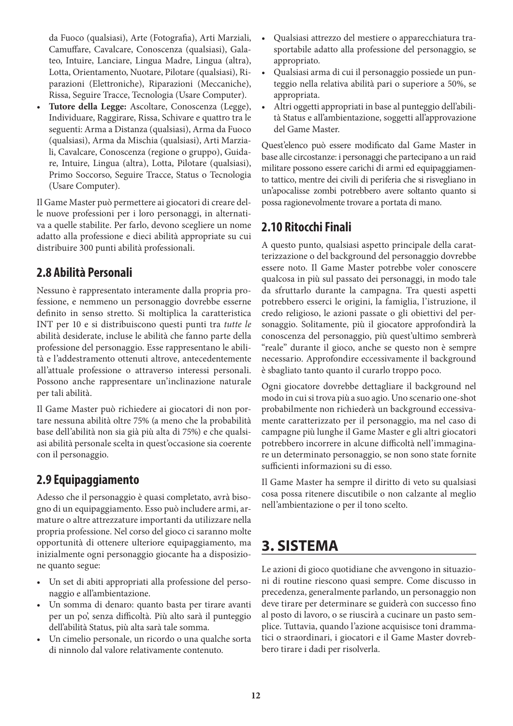da Fuoco (qualsiasi), Arte (Fotografia), Arti Marziali, Camuffare, Cavalcare, Conoscenza (qualsiasi), Galateo, Intuire, Lanciare, Lingua Madre, Lingua (altra), Lotta, Orientamento, Nuotare, Pilotare (qualsiasi), Riparazioni (Elettroniche), Riparazioni (Meccaniche), Rissa, Seguire Tracce, Tecnologia (Usare Computer).

• **Tutore della Legge:** Ascoltare, Conoscenza (Legge), Individuare, Raggirare, Rissa, Schivare e quattro tra le seguenti: Arma a Distanza (qualsiasi), Arma da Fuoco (qualsiasi), Arma da Mischia (qualsiasi), Arti Marziali, Cavalcare, Conoscenza (regione o gruppo), Guidare, Intuire, Lingua (altra), Lotta, Pilotare (qualsiasi), Primo Soccorso, Seguire Tracce, Status o Tecnologia (Usare Computer).

Il Game Master può permettere ai giocatori di creare delle nuove professioni per i loro personaggi, in alternativa a quelle stabilite. Per farlo, devono scegliere un nome adatto alla professione e dieci abilità appropriate su cui distribuire 300 punti abilità professionali.

## **2.8 Abilità Personali**

Nessuno è rappresentato interamente dalla propria professione, e nemmeno un personaggio dovrebbe esserne definito in senso stretto. Si moltiplica la caratteristica INT per 10 e si distribuiscono questi punti tra *tutte le* abilità desiderate, incluse le abilità che fanno parte della professione del personaggio. Esse rappresentano le abilità e l'addestramento ottenuti altrove, antecedentemente all'attuale professione o attraverso interessi personali. Possono anche rappresentare un'inclinazione naturale per tali abilità.

Il Game Master può richiedere ai giocatori di non portare nessuna abilità oltre 75% (a meno che la probabilità base dell'abilità non sia già più alta di 75%) e che qualsiasi abilità personale scelta in quest'occasione sia coerente con il personaggio.

## **2.9 Equipaggiamento**

Adesso che il personaggio è quasi completato, avrà bisogno di un equipaggiamento. Esso può includere armi, armature o altre attrezzature importanti da utilizzare nella propria professione. Nel corso del gioco ci saranno molte opportunità di ottenere ulteriore equipaggiamento, ma inizialmente ogni personaggio giocante ha a disposizione quanto segue:

- Un set di abiti appropriati alla professione del personaggio e all'ambientazione.
- Un somma di denaro: quanto basta per tirare avanti per un po', senza difficoltà. Più alto sarà il punteggio dell'abilità Status, più alta sarà tale somma.
- Un cimelio personale, un ricordo o una qualche sorta di ninnolo dal valore relativamente contenuto.
- Qualsiasi attrezzo del mestiere o apparecchiatura trasportabile adatto alla professione del personaggio, se appropriato.
- Qualsiasi arma di cui il personaggio possiede un punteggio nella relativa abilità pari o superiore a 50%, se appropriata.
- Altri oggetti appropriati in base al punteggio dell'abilità Status e all'ambientazione, soggetti all'approvazione del Game Master.

Quest'elenco può essere modificato dal Game Master in base alle circostanze: i personaggi che partecipano a un raid militare possono essere carichi di armi ed equipaggiamento tattico, mentre dei civili di periferia che si risvegliano in un'apocalisse zombi potrebbero avere soltanto quanto si possa ragionevolmente trovare a portata di mano.

#### **2.10 Ritocchi Finali**

A questo punto, qualsiasi aspetto principale della caratterizzazione o del background del personaggio dovrebbe essere noto. Il Game Master potrebbe voler conoscere qualcosa in più sul passato dei personaggi, in modo tale da sfruttarlo durante la campagna. Tra questi aspetti potrebbero esserci le origini, la famiglia, l'istruzione, il credo religioso, le azioni passate o gli obiettivi del personaggio. Solitamente, più il giocatore approfondirà la conoscenza del personaggio, più quest'ultimo sembrerà "reale" durante il gioco, anche se questo non è sempre necessario. Approfondire eccessivamente il background è sbagliato tanto quanto il curarlo troppo poco.

Ogni giocatore dovrebbe dettagliare il background nel modo in cui si trova più a suo agio. Uno scenario one-shot probabilmente non richiederà un background eccessivamente caratterizzato per il personaggio, ma nel caso di campagne più lunghe il Game Master e gli altri giocatori potrebbero incorrere in alcune difficoltà nell'immaginare un determinato personaggio, se non sono state fornite sufficienti informazioni su di esso.

Il Game Master ha sempre il diritto di veto su qualsiasi cosa possa ritenere discutibile o non calzante al meglio nell'ambientazione o per il tono scelto.

# **3. SISTEMA**

Le azioni di gioco quotidiane che avvengono in situazioni di routine riescono quasi sempre. Come discusso in precedenza, generalmente parlando, un personaggio non deve tirare per determinare se guiderà con successo fino al posto di lavoro, o se riuscirà a cucinare un pasto semplice. Tuttavia, quando l'azione acquisisce toni drammatici o straordinari, i giocatori e il Game Master dovrebbero tirare i dadi per risolverla.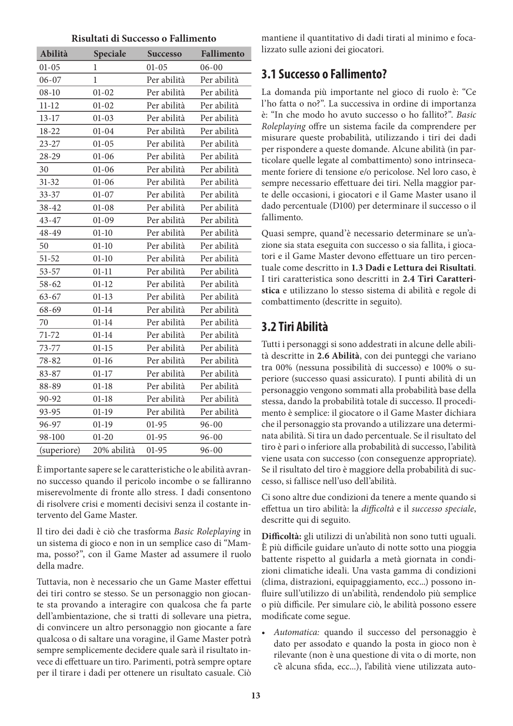| Abilità     | Speciale    | <b>Successo</b> | Fallimento  |
|-------------|-------------|-----------------|-------------|
| $01 - 05$   | 1           | $01 - 05$       | $06 - 00$   |
| $06 - 07$   | 1           | Per abilità     | Per abilità |
| $08 - 10$   | $01 - 02$   | Per abilità     | Per abilità |
| $11 - 12$   | $01 - 02$   | Per abilità     | Per abilità |
| $13 - 17$   | $01 - 03$   | Per abilità     | Per abilità |
| 18-22       | $01 - 04$   | Per abilità     | Per abilità |
| 23-27       | $01 - 05$   | Per abilità     | Per abilità |
| $28 - 29$   | $01 - 06$   | Per abilità     | Per abilità |
| 30          | $01 - 06$   | Per abilità     | Per abilità |
| $31 - 32$   | $01 - 06$   | Per abilità     | Per abilità |
| $33 - 37$   | $01 - 07$   | Per abilità     | Per abilità |
| $38 - 42$   | $01 - 08$   | Per abilità     | Per abilità |
| $43 - 47$   | $01 - 09$   | Per abilità     | Per abilità |
| 48-49       | $01 - 10$   | Per abilità     | Per abilità |
| 50          | $01 - 10$   | Per abilità     | Per abilità |
| $51 - 52$   | $01 - 10$   | Per abilità     | Per abilità |
| $53 - 57$   | $01 - 11$   | Per abilità     | Per abilità |
| $58 - 62$   | $01 - 12$   | Per abilità     | Per abilità |
| $63 - 67$   | $01-13$     | Per abilità     | Per abilità |
| 68-69       | $01 - 14$   | Per abilità     | Per abilità |
| 70          | $01-14$     | Per abilità     | Per abilità |
| 71-72       | $01 - 14$   | Per abilità     | Per abilità |
| 73-77       | $01 - 15$   | Per abilità     | Per abilità |
| $78 - 82$   | $01-16$     | Per abilità     | Per abilità |
| 83-87       | $01 - 17$   | Per abilità     | Per abilità |
| 88-89       | $01-18$     | Per abilità     | Per abilità |
| 90-92       | $01 - 18$   | Per abilità     | Per abilità |
| 93-95       | $01-19$     | Per abilità     | Per abilità |
| 96-97       | $01-19$     | $01 - 95$       | $96 - 00$   |
| 98-100      | $01 - 20$   | $01 - 95$       | $96 - 00$   |
| (superiore) | 20% abilità | $01-95$         | $96 - 00$   |

#### **Risultati di Successo o Fallimento**

È importante sapere se le caratteristiche o le abilità avranno successo quando il pericolo incombe o se falliranno miserevolmente di fronte allo stress. I dadi consentono di risolvere crisi e momenti decisivi senza il costante intervento del Game Master.

Il tiro dei dadi è ciò che trasforma *Basic Roleplaying* in un sistema di gioco e non in un semplice caso di "Mamma, posso?", con il Game Master ad assumere il ruolo della madre.

Tuttavia, non è necessario che un Game Master effettui dei tiri contro se stesso. Se un personaggio non giocante sta provando a interagire con qualcosa che fa parte dell'ambientazione, che si tratti di sollevare una pietra, di convincere un altro personaggio non giocante a fare qualcosa o di saltare una voragine, il Game Master potrà sempre semplicemente decidere quale sarà il risultato invece di effettuare un tiro. Parimenti, potrà sempre optare per il tirare i dadi per ottenere un risultato casuale. Ciò

mantiene il quantitativo di dadi tirati al minimo e focalizzato sulle azioni dei giocatori.

#### **3.1 Successo o Fallimento?**

La domanda più importante nel gioco di ruolo è: "Ce l'ho fatta o no?". La successiva in ordine di importanza è: "In che modo ho avuto successo o ho fallito?". *Basic Roleplaying* offre un sistema facile da comprendere per misurare queste probabilità, utilizzando i tiri dei dadi per rispondere a queste domande. Alcune abilità (in particolare quelle legate al combattimento) sono intrinsecamente foriere di tensione e/o pericolose. Nel loro caso, è sempre necessario effettuare dei tiri. Nella maggior parte delle occasioni, i giocatori e il Game Master usano il dado percentuale (D100) per determinare il successo o il fallimento.

Quasi sempre, quand'è necessario determinare se un'azione sia stata eseguita con successo o sia fallita, i giocatori e il Game Master devono effettuare un tiro percentuale come descritto in **1.3 Dadi e Lettura dei Risultati**. I tiri caratteristica sono descritti in **2.4 Tiri Caratteristica** e utilizzano lo stesso sistema di abilità e regole di combattimento (descritte in seguito).

#### **3.2 Tiri Abilità**

Tutti i personaggi si sono addestrati in alcune delle abilità descritte in **2.6 Abilità**, con dei punteggi che variano tra 00% (nessuna possibilità di successo) e 100% o superiore (successo quasi assicurato). I punti abilità di un personaggio vengono sommati alla probabilità base della stessa, dando la probabilità totale di successo. Il procedimento è semplice: il giocatore o il Game Master dichiara che il personaggio sta provando a utilizzare una determinata abilità. Si tira un dado percentuale. Se il risultato del tiro è pari o inferiore alla probabilità di successo, l'abilità viene usata con successo (con conseguenze appropriate). Se il risultato del tiro è maggiore della probabilità di successo, si fallisce nell'uso dell'abilità.

Ci sono altre due condizioni da tenere a mente quando si effettua un tiro abilità: la *difficoltà* e il *successo speciale*, descritte qui di seguito.

**Difficoltà:** gli utilizzi di un'abilità non sono tutti uguali. È più difficile guidare un'auto di notte sotto una pioggia battente rispetto al guidarla a metà giornata in condizioni climatiche ideali. Una vasta gamma di condizioni (clima, distrazioni, equipaggiamento, ecc...) possono influire sull'utilizzo di un'abilità, rendendolo più semplice o più difficile. Per simulare ciò, le abilità possono essere modificate come segue.

• *Automatica:* quando il successo del personaggio è dato per assodato e quando la posta in gioco non è rilevante (non è una questione di vita o di morte, non c'è alcuna sfida, ecc...), l'abilità viene utilizzata auto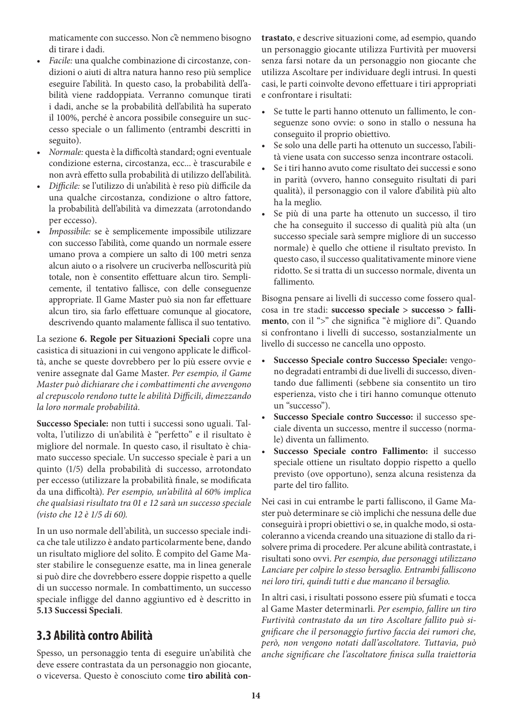maticamente con successo. Non c'è nemmeno bisogno di tirare i dadi.

- *Facile:* una qualche combinazione di circostanze, condizioni o aiuti di altra natura hanno reso più semplice eseguire l'abilità. In questo caso, la probabilità dell'abilità viene raddoppiata. Verranno comunque tirati i dadi, anche se la probabilità dell'abilità ha superato il 100%, perché è ancora possibile conseguire un successo speciale o un fallimento (entrambi descritti in seguito).
- *Normale:* questa è la difficoltà standard; ogni eventuale condizione esterna, circostanza, ecc... è trascurabile e non avrà effetto sulla probabilità di utilizzo dell'abilità.
- *Difficile:* se l'utilizzo di un'abilità è reso più difficile da una qualche circostanza, condizione o altro fattore, la probabilità dell'abilità va dimezzata (arrotondando per eccesso).
- *Impossibile:* se è semplicemente impossibile utilizzare con successo l'abilità, come quando un normale essere umano prova a compiere un salto di 100 metri senza alcun aiuto o a risolvere un cruciverba nell'oscurità più totale, non è consentito effettuare alcun tiro. Semplicemente, il tentativo fallisce, con delle conseguenze appropriate. Il Game Master può sia non far effettuare alcun tiro, sia farlo effettuare comunque al giocatore, descrivendo quanto malamente fallisca il suo tentativo.

La sezione **6. Regole per Situazioni Speciali** copre una casistica di situazioni in cui vengono applicate le difficoltà, anche se queste dovrebbero per lo più essere ovvie e venire assegnate dal Game Master. *Per esempio, il Game Master può dichiarare che i combattimenti che avvengono al crepuscolo rendono tutte le abilità Difficili, dimezzando la loro normale probabilità.*

**Successo Speciale:** non tutti i successi sono uguali. Talvolta, l'utilizzo di un'abilità è "perfetto" e il risultato è migliore del normale. In questo caso, il risultato è chiamato successo speciale. Un successo speciale è pari a un quinto (1/5) della probabilità di successo, arrotondato per eccesso (utilizzare la probabilità finale, se modificata da una difficoltà). *Per esempio, un'abilità al 60% implica che qualsiasi risultato tra 01 e 12 sarà un successo speciale (visto che 12 è 1/5 di 60).*

In un uso normale dell'abilità, un successo speciale indica che tale utilizzo è andato particolarmente bene, dando un risultato migliore del solito. È compito del Game Master stabilire le conseguenze esatte, ma in linea generale si può dire che dovrebbero essere doppie rispetto a quelle di un successo normale. In combattimento, un successo speciale infligge del danno aggiuntivo ed è descritto in **5.13 Successi Speciali**.

#### **3.3 Abilità contro Abilità**

Spesso, un personaggio tenta di eseguire un'abilità che deve essere contrastata da un personaggio non giocante, o viceversa. Questo è conosciuto come **tiro abilità con-** **trastato**, e descrive situazioni come, ad esempio, quando un personaggio giocante utilizza Furtività per muoversi senza farsi notare da un personaggio non giocante che utilizza Ascoltare per individuare degli intrusi. In questi casi, le parti coinvolte devono effettuare i tiri appropriati e confrontare i risultati:

- Se tutte le parti hanno ottenuto un fallimento, le conseguenze sono ovvie: o sono in stallo o nessuna ha conseguito il proprio obiettivo.
- Se solo una delle parti ha ottenuto un successo, l'abilità viene usata con successo senza incontrare ostacoli.
- Se i tiri hanno avuto come risultato dei successi e sono in parità (ovvero, hanno conseguito risultati di pari qualità), il personaggio con il valore d'abilità più alto ha la meglio.
- Se più di una parte ha ottenuto un successo, il tiro che ha conseguito il successo di qualità più alta (un successo speciale sarà sempre migliore di un successo normale) è quello che ottiene il risultato previsto. In questo caso, il successo qualitativamente minore viene ridotto. Se si tratta di un successo normale, diventa un fallimento.

Bisogna pensare ai livelli di successo come fossero qualcosa in tre stadi: **successo speciale > successo > fallimento**, con il ">" che significa "è migliore di". Quando si confrontano i livelli di successo, sostanzialmente un livello di successo ne cancella uno opposto.

- **Successo Speciale contro Successo Speciale:** vengono degradati entrambi di due livelli di successo, diventando due fallimenti (sebbene sia consentito un tiro esperienza, visto che i tiri hanno comunque ottenuto un "successo").
- **Successo Speciale contro Successo:** il successo speciale diventa un successo, mentre il successo (normale) diventa un fallimento.
- **Successo Speciale contro Fallimento:** il successo speciale ottiene un risultato doppio rispetto a quello previsto (ove opportuno), senza alcuna resistenza da parte del tiro fallito.

Nei casi in cui entrambe le parti falliscono, il Game Master può determinare se ciò implichi che nessuna delle due conseguirà i propri obiettivi o se, in qualche modo, si ostacoleranno a vicenda creando una situazione di stallo da risolvere prima di procedere. Per alcune abilità contrastate, i risultati sono ovvi. *Per esempio, due personaggi utilizzano Lanciare per colpire lo stesso bersaglio. Entrambi falliscono nei loro tiri, quindi tutti e due mancano il bersaglio.*

In altri casi, i risultati possono essere più sfumati e tocca al Game Master determinarli. *Per esempio, fallire un tiro Furtività contrastato da un tiro Ascoltare fallito può significare che il personaggio furtivo faccia dei rumori che, però, non vengono notati dall'ascoltatore. Tuttavia, può anche significare che l'ascoltatore finisca sulla traiettoria*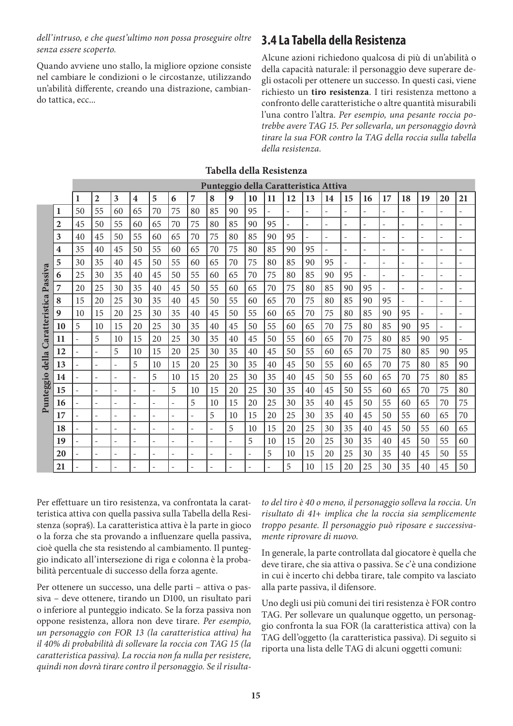*dell'intruso, e che quest'ultimo non possa proseguire oltre senza essere scoperto.*

Quando avviene uno stallo, la migliore opzione consiste nel cambiare le condizioni o le circostanze, utilizzando un'abilità differente, creando una distrazione, cambiando tattica, ecc...

#### **3.4 La Tabella della Resistenza**

Alcune azioni richiedono qualcosa di più di un'abilità o della capacità naturale: il personaggio deve superare degli ostacoli per ottenere un successo. In questi casi, viene richiesto un **tiro resistenza**. I tiri resistenza mettono a confronto delle caratteristiche o altre quantità misurabili l'una contro l'altra. *Per esempio, una pesante roccia potrebbe avere TAG 15. Per sollevarla, un personaggio dovrà tirare la sua FOR contro la TAG della roccia sulla tabella della resistenza.*

|                |    | Punteggio della Caratteristica Attiva |                          |    |                          |    |                          |                          |                          |                          |    |    |    |                          |                          |                          |                          |                          |                          |                          |    |                          |
|----------------|----|---------------------------------------|--------------------------|----|--------------------------|----|--------------------------|--------------------------|--------------------------|--------------------------|----|----|----|--------------------------|--------------------------|--------------------------|--------------------------|--------------------------|--------------------------|--------------------------|----|--------------------------|
|                |    | 1                                     | $\overline{2}$           | 3  | $\overline{\mathbf{4}}$  | 5  | 6                        | 7                        | 8                        | 9                        | 10 | 11 | 12 | 13                       | 14                       | 15                       | 16                       | 17                       | 18                       | 19                       | 20 | 21                       |
|                | 1  | 50                                    | 55                       | 60 | 65                       | 70 | 75                       | 80                       | 85                       | 90                       | 95 |    |    |                          |                          |                          |                          |                          |                          |                          |    |                          |
|                | 2  | 45                                    | 50                       | 55 | 60                       | 65 | 70                       | 75                       | 80                       | 85                       | 90 | 95 |    | $\overline{\phantom{0}}$ | $\overline{\phantom{a}}$ | $\overline{\phantom{a}}$ | -                        |                          | $\overline{\phantom{a}}$ | $\overline{\phantom{0}}$ |    |                          |
|                | 3  | 40                                    | 45                       | 50 | 55                       | 60 | 65                       | 70                       | 75                       | 80                       | 85 | 90 | 95 |                          | $\overline{\phantom{a}}$ | $\overline{\phantom{0}}$ | $\overline{\phantom{0}}$ |                          | $\overline{\phantom{a}}$ | $\overline{\phantom{a}}$ |    | $\overline{\phantom{0}}$ |
|                | 4  | 35                                    | 40                       | 45 | 50                       | 55 | 60                       | 65                       | 70                       | 75                       | 80 | 85 | 90 | 95                       | $\overline{\phantom{a}}$ |                          | $\overline{a}$           |                          | $\overline{\phantom{a}}$ | $\overline{\phantom{a}}$ |    |                          |
|                | 5  | 30                                    | 35                       | 40 | 45                       | 50 | 55                       | 60                       | 65                       | 70                       | 75 | 80 | 85 | 90                       | 95                       |                          |                          |                          | $\overline{\phantom{a}}$ | $\overline{\phantom{0}}$ |    |                          |
| assiva         | 6  | 25                                    | 30                       | 35 | 40                       | 45 | 50                       | 55                       | 60                       | 65                       | 70 | 75 | 80 | 85                       | 90                       | 95                       | -                        | $\overline{\phantom{0}}$ | $\overline{\phantom{a}}$ | $\overline{\phantom{a}}$ |    |                          |
| $\mathbf{p}$   | 7  | 20                                    | 25                       | 30 | 35                       | 40 | 45                       | 50                       | 55                       | 60                       | 65 | 70 | 75 | 80                       | 85                       | 90                       | 95                       | $\overline{a}$           | $\overline{\phantom{a}}$ | $\overline{\phantom{a}}$ |    |                          |
|                | 8  | 15                                    | 20                       | 25 | 30                       | 35 | 40                       | 45                       | 50                       | 55                       | 60 | 65 | 70 | 75                       | 80                       | 85                       | 90                       | 95                       |                          | $\overline{\phantom{a}}$ |    |                          |
|                | 9  | 10                                    | 15                       | 20 | 25                       | 30 | 35                       | 40                       | 45                       | 50                       | 55 | 60 | 65 | 70                       | 75                       | 80                       | 85                       | 90                       | 95                       |                          |    |                          |
| Caratteristica | 10 | 5                                     | 10                       | 15 | 20                       | 25 | 30                       | 35                       | 40                       | 45                       | 50 | 55 | 60 | 65                       | 70                       | 75                       | 80                       | 85                       | 90                       | 95                       |    |                          |
|                | 11 | $\overline{\phantom{0}}$              | 5                        | 10 | 15                       | 20 | 25                       | 30                       | 35                       | 40                       | 45 | 50 | 55 | 60                       | 65                       | 70                       | 75                       | 80                       | 85                       | 90                       | 95 |                          |
|                | 12 |                                       |                          | 5  | 10                       | 15 | 20                       | 25                       | 30                       | 35                       | 40 | 45 | 50 | 55                       | 60                       | 65                       | 70                       | 75                       | 80                       | 85                       | 90 | 95                       |
| della          | 13 | $\overline{\phantom{a}}$              | $\overline{\phantom{a}}$ |    | 5                        | 10 | 15                       | 20                       | 25                       | 30                       | 35 | 40 | 45 | 50                       | 55                       | 60                       | 65                       | 70                       | 75                       | 80                       | 85 | 90                       |
|                | 14 | $\overline{a}$                        | $\overline{\phantom{a}}$ |    | $\overline{\phantom{a}}$ | 5  | 10                       | 15                       | 20                       | 25                       | 30 | 35 | 40 | 45                       | 50                       | 55                       | 60                       | 65                       | 70                       | 75                       | 80 | 85                       |
| Punteggio      | 15 |                                       |                          |    |                          |    | 5                        | 10                       | 15                       | 20                       | 25 | 30 | 35 | 40                       | 45                       | 50                       | 55                       | 60                       | 65                       | 70                       | 75 | 80                       |
|                | 16 | $\overline{\phantom{0}}$              | $\overline{a}$           |    | $\overline{\phantom{0}}$ |    | $\overline{\phantom{a}}$ | 5                        | 10                       | 15                       | 20 | 25 | 30 | 35                       | 40                       | 45                       | 50                       | 55                       | 60                       | 65                       | 70 | 75                       |
|                | 17 | $\overline{\phantom{a}}$              | $\overline{\phantom{0}}$ |    | $\overline{\phantom{a}}$ |    | $\overline{\phantom{a}}$ | $\overline{\phantom{a}}$ | 5                        | 10                       | 15 | 20 | 25 | 30                       | 35                       | 40                       | 45                       | 50                       | 55                       | 60                       | 65 | 70                       |
|                | 18 |                                       | $\overline{a}$           |    | $\overline{\phantom{a}}$ |    |                          | $\overline{a}$           | $\overline{\phantom{a}}$ | 5                        | 10 | 15 | 20 | 25                       | 30                       | 35                       | 40                       | 45                       | 50                       | 55                       | 60 | 65                       |
|                | 19 | $\overline{a}$                        |                          |    | $\overline{\phantom{0}}$ |    |                          | $\overline{a}$           |                          | $\overline{\phantom{a}}$ | 5  | 10 | 15 | 20                       | 25                       | 30                       | 35                       | 40                       | 45                       | 50                       | 55 | 60                       |
|                | 20 |                                       |                          |    | $\overline{a}$           |    |                          | $\overline{a}$           |                          | $\overline{\phantom{a}}$ |    | 5  | 10 | 15                       | 20                       | 25                       | 30                       | 35                       | 40                       | 45                       | 50 | 55                       |
|                | 21 |                                       |                          |    |                          |    |                          |                          |                          |                          |    |    | 5  | 10                       | 15                       | 20                       | 25                       | 30                       | 35                       | 40                       | 45 | 50                       |

#### **Tabella della Resistenza**

Per effettuare un tiro resistenza, va confrontata la caratteristica attiva con quella passiva sulla Tabella della Resistenza (sopra§). La caratteristica attiva è la parte in gioco o la forza che sta provando a influenzare quella passiva, cioè quella che sta resistendo al cambiamento. Il punteggio indicato all'intersezione di riga e colonna è la probabilità percentuale di successo della forza agente.

Per ottenere un successo, una delle parti – attiva o passiva – deve ottenere, tirando un D100, un risultato pari o inferiore al punteggio indicato. Se la forza passiva non oppone resistenza, allora non deve tirare. *Per esempio, un personaggio con FOR 13 (la caratteristica attiva) ha il 40% di probabilità di sollevare la roccia con TAG 15 (la caratteristica passiva). La roccia non fa nulla per resistere, quindi non dovrà tirare contro il personaggio. Se il risulta-* *to del tiro è 40 o meno, il personaggio solleva la roccia. Un risultato di 41+ implica che la roccia sia semplicemente troppo pesante. Il personaggio può riposare e successivamente riprovare di nuovo.*

In generale, la parte controllata dal giocatore è quella che deve tirare, che sia attiva o passiva. Se c'è una condizione in cui è incerto chi debba tirare, tale compito va lasciato alla parte passiva, il difensore.

Uno degli usi più comuni dei tiri resistenza è FOR contro TAG. Per sollevare un qualunque oggetto, un personaggio confronta la sua FOR (la caratteristica attiva) con la TAG dell'oggetto (la caratteristica passiva). Di seguito si riporta una lista delle TAG di alcuni oggetti comuni: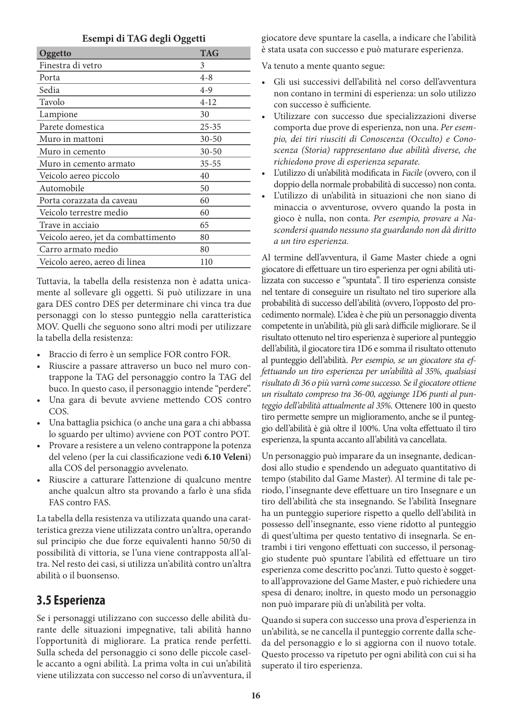#### **Esempi di TAG degli Oggetti**

| Oggetto                             | <b>TAG</b> |
|-------------------------------------|------------|
| Finestra di vetro                   | 3          |
| Porta                               | $4 - 8$    |
| Sedia                               | $4 - 9$    |
| Tavolo                              | $4 - 12$   |
| Lampione                            | 30         |
| Parete domestica                    | $25 - 35$  |
| Muro in mattoni                     | $30 - 50$  |
| Muro in cemento                     | $30 - 50$  |
| Muro in cemento armato              | $35 - 55$  |
| Veicolo aereo piccolo               | 40         |
| Automobile                          | 50         |
| Porta corazzata da caveau           | 60         |
| Veicolo terrestre medio             | 60         |
| Trave in acciaio                    | 65         |
| Veicolo aereo, jet da combattimento | 80         |
| Carro armato medio                  | 80         |
| Veicolo aereo, aereo di linea       | 110        |

Tuttavia, la tabella della resistenza non è adatta unicamente al sollevare gli oggetti. Si può utilizzare in una gara DES contro DES per determinare chi vinca tra due personaggi con lo stesso punteggio nella caratteristica MOV. Quelli che seguono sono altri modi per utilizzare la tabella della resistenza:

- Braccio di ferro è un semplice FOR contro FOR.
- Riuscire a passare attraverso un buco nel muro contrappone la TAG del personaggio contro la TAG del buco. In questo caso, il personaggio intende "perdere".
- Una gara di bevute avviene mettendo COS contro COS.
- Una battaglia psichica (o anche una gara a chi abbassa lo sguardo per ultimo) avviene con POT contro POT.
- Provare a resistere a un veleno contrappone la potenza del veleno (per la cui classificazione vedi **6.10 Veleni**) alla COS del personaggio avvelenato.
- Riuscire a catturare l'attenzione di qualcuno mentre anche qualcun altro sta provando a farlo è una sfida FAS contro FAS.

La tabella della resistenza va utilizzata quando una caratteristica grezza viene utilizzata contro un'altra, operando sul principio che due forze equivalenti hanno 50/50 di possibilità di vittoria, se l'una viene contrapposta all'altra. Nel resto dei casi, si utilizza un'abilità contro un'altra abilità o il buonsenso.

#### **3.5 Esperienza**

Se i personaggi utilizzano con successo delle abilità durante delle situazioni impegnative, tali abilità hanno l'opportunità di migliorare. La pratica rende perfetti. Sulla scheda del personaggio ci sono delle piccole caselle accanto a ogni abilità. La prima volta in cui un'abilità viene utilizzata con successo nel corso di un'avventura, il

giocatore deve spuntare la casella, a indicare che l'abilità è stata usata con successo e può maturare esperienza.

Va tenuto a mente quanto segue:

- Gli usi successivi dell'abilità nel corso dell'avventura non contano in termini di esperienza: un solo utilizzo con successo è sufficiente.
- Utilizzare con successo due specializzazioni diverse comporta due prove di esperienza, non una. *Per esempio, dei tiri riusciti di Conoscenza (Occulto) e Conoscenza (Storia) rappresentano due abilità diverse, che richiedono prove di esperienza separate.*
- L'utilizzo di un'abilità modificata in *Facile* (ovvero, con il doppio della normale probabilità di successo) non conta.
- L'utilizzo di un'abilità in situazioni che non siano di minaccia o avventurose, ovvero quando la posta in gioco è nulla, non conta. *Per esempio, provare a Nascondersi quando nessuno sta guardando non dà diritto a un tiro esperienza.*

Al termine dell'avventura, il Game Master chiede a ogni giocatore di effettuare un tiro esperienza per ogni abilità utilizzata con successo e "spuntata". Il tiro esperienza consiste nel tentare di conseguire un risultato nel tiro superiore alla probabilità di successo dell'abilità (ovvero, l'opposto del procedimento normale). L'idea è che più un personaggio diventa competente in un'abilità, più gli sarà difficile migliorare. Se il risultato ottenuto nel tiro esperienza è superiore al punteggio dell'abilità, il giocatore tira 1D6 e somma il risultato ottenuto al punteggio dell'abilità. *Per esempio, se un giocatore sta effettuando un tiro esperienza per un'abilità al 35%, qualsiasi risultato di 36 o più varrà come successo. Se il giocatore ottiene un risultato compreso tra 36-00, aggiunge 1D6 punti al punteggio dell'abilità attualmente al 35%.* Ottenere 100 in questo tiro permette sempre un miglioramento, anche se il punteggio dell'abilità è già oltre il 100%. Una volta effettuato il tiro esperienza, la spunta accanto all'abilità va cancellata.

Un personaggio può imparare da un insegnante, dedicandosi allo studio e spendendo un adeguato quantitativo di tempo (stabilito dal Game Master). Al termine di tale periodo, l'insegnante deve effettuare un tiro Insegnare e un tiro dell'abilità che sta insegnando. Se l'abilità Insegnare ha un punteggio superiore rispetto a quello dell'abilità in possesso dell'insegnante, esso viene ridotto al punteggio di quest'ultima per questo tentativo di insegnarla. Se entrambi i tiri vengono effettuati con successo, il personaggio studente può spuntare l'abilità ed effettuare un tiro esperienza come descritto poc'anzi. Tutto questo è soggetto all'approvazione del Game Master, e può richiedere una spesa di denaro; inoltre, in questo modo un personaggio non può imparare più di un'abilità per volta.

Quando si supera con successo una prova d'esperienza in un'abilità, se ne cancella il punteggio corrente dalla scheda del personaggio e lo si aggiorna con il nuovo totale. Questo processo va ripetuto per ogni abilità con cui si ha superato il tiro esperienza.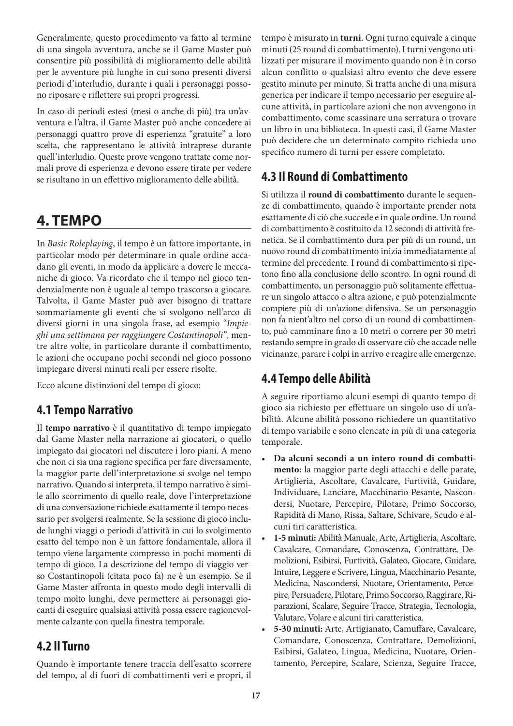Generalmente, questo procedimento va fatto al termine di una singola avventura, anche se il Game Master può consentire più possibilità di miglioramento delle abilità per le avventure più lunghe in cui sono presenti diversi periodi d'interludio, durante i quali i personaggi possono riposare e riflettere sui propri progressi.

In caso di periodi estesi (mesi o anche di più) tra un'avventura e l'altra, il Game Master può anche concedere ai personaggi quattro prove di esperienza "gratuite" a loro scelta, che rappresentano le attività intraprese durante quell'interludio. Queste prove vengono trattate come normali prove di esperienza e devono essere tirate per vedere se risultano in un effettivo miglioramento delle abilità.

# **4. TEMPO**

In *Basic Roleplaying*, il tempo è un fattore importante, in particolar modo per determinare in quale ordine accadano gli eventi, in modo da applicare a dovere le meccaniche di gioco. Va ricordato che il tempo nel gioco tendenzialmente non è uguale al tempo trascorso a giocare. Talvolta, il Game Master può aver bisogno di trattare sommariamente gli eventi che si svolgono nell'arco di diversi giorni in una singola frase, ad esempio "*Impieghi una settimana per raggiungere Costantinopoli*", mentre altre volte, in particolare durante il combattimento, le azioni che occupano pochi secondi nel gioco possono impiegare diversi minuti reali per essere risolte.

Ecco alcune distinzioni del tempo di gioco:

#### **4.1 Tempo Narrativo**

Il **tempo narrativo** è il quantitativo di tempo impiegato dal Game Master nella narrazione ai giocatori, o quello impiegato dai giocatori nel discutere i loro piani. A meno che non ci sia una ragione specifica per fare diversamente, la maggior parte dell'interpretazione si svolge nel tempo narrativo. Quando si interpreta, il tempo narrativo è simile allo scorrimento di quello reale, dove l'interpretazione di una conversazione richiede esattamente il tempo necessario per svolgersi realmente. Se la sessione di gioco include lunghi viaggi o periodi d'attività in cui lo svolgimento esatto del tempo non è un fattore fondamentale, allora il tempo viene largamente compresso in pochi momenti di tempo di gioco. La descrizione del tempo di viaggio verso Costantinopoli (citata poco fa) ne è un esempio. Se il Game Master affronta in questo modo degli intervalli di tempo molto lunghi, deve permettere ai personaggi giocanti di eseguire qualsiasi attività possa essere ragionevolmente calzante con quella finestra temporale.

#### **4.2 Il Turno**

Quando è importante tenere traccia dell'esatto scorrere del tempo, al di fuori di combattimenti veri e propri, il tempo è misurato in **turni**. Ogni turno equivale a cinque minuti (25 round di combattimento). I turni vengono utilizzati per misurare il movimento quando non è in corso alcun conflitto o qualsiasi altro evento che deve essere gestito minuto per minuto. Si tratta anche di una misura generica per indicare il tempo necessario per eseguire alcune attività, in particolare azioni che non avvengono in combattimento, come scassinare una serratura o trovare un libro in una biblioteca. In questi casi, il Game Master può decidere che un determinato compito richieda uno specifico numero di turni per essere completato.

#### **4.3 Il Round di Combattimento**

Si utilizza il **round di combattimento** durante le sequenze di combattimento, quando è importante prender nota esattamente di ciò che succede e in quale ordine. Un round di combattimento è costituito da 12 secondi di attività frenetica. Se il combattimento dura per più di un round, un nuovo round di combattimento inizia immediatamente al termine del precedente. I round di combattimento si ripetono fino alla conclusione dello scontro. In ogni round di combattimento, un personaggio può solitamente effettuare un singolo attacco o altra azione, e può potenzialmente compiere più di un'azione difensiva. Se un personaggio non fa nient'altro nel corso di un round di combattimento, può camminare fino a 10 metri o correre per 30 metri restando sempre in grado di osservare ciò che accade nelle vicinanze, parare i colpi in arrivo e reagire alle emergenze.

#### **4.4 Tempo delle Abilità**

A seguire riportiamo alcuni esempi di quanto tempo di gioco sia richiesto per effettuare un singolo uso di un'abilità. Alcune abilità possono richiedere un quantitativo di tempo variabile e sono elencate in più di una categoria temporale.

- **Da alcuni secondi a un intero round di combattimento:** la maggior parte degli attacchi e delle parate, Artiglieria, Ascoltare, Cavalcare, Furtività, Guidare, Individuare, Lanciare, Macchinario Pesante, Nascondersi, Nuotare, Percepire, Pilotare, Primo Soccorso, Rapidità di Mano, Rissa, Saltare, Schivare, Scudo e alcuni tiri caratteristica.
- **1-5 minuti:** Abilità Manuale, Arte, Artiglieria, Ascoltare, Cavalcare, Comandare, Conoscenza, Contrattare, Demolizioni, Esibirsi, Furtività, Galateo, Giocare, Guidare, Intuire, Leggere e Scrivere, Lingua, Macchinario Pesante, Medicina, Nascondersi, Nuotare, Orientamento, Percepire, Persuadere, Pilotare, Primo Soccorso, Raggirare, Riparazioni, Scalare, Seguire Tracce, Strategia, Tecnologia, Valutare, Volare e alcuni tiri caratteristica.
- **5-30 minuti:** Arte, Artigianato, Camuffare, Cavalcare, Comandare, Conoscenza, Contrattare, Demolizioni, Esibirsi, Galateo, Lingua, Medicina, Nuotare, Orientamento, Percepire, Scalare, Scienza, Seguire Tracce,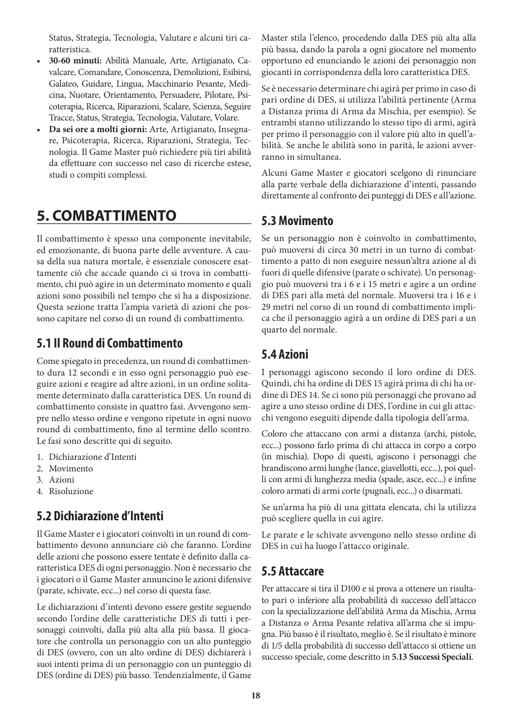Status, Strategia, Tecnologia, Valutare e alcuni tiri caratteristica.

- **30-60 minuti:** Abilità Manuale, Arte, Artigianato, Cavalcare, Comandare, Conoscenza, Demolizioni, Esibirsi, Galateo, Guidare, Lingua, Macchinario Pesante, Medicina, Nuotare, Orientamento, Persuadere, Pilotare, Psicoterapia, Ricerca, Riparazioni, Scalare, Scienza, Seguire Tracce, Status, Strategia, Tecnologia, Valutare, Volare.
- **Da sei ore a molti giorni:** Arte, Artigianato, Insegnare, Psicoterapia, Ricerca, Riparazioni, Strategia, Tecnologia. Il Game Master può richiedere più tiri abilità da effettuare con successo nel caso di ricerche estese, studi o compiti complessi.

# **5. COMBATTIMENTO**

Il combattimento è spesso una componente inevitabile, ed emozionante, di buona parte delle avventure. A causa della sua natura mortale, è essenziale conoscere esattamente ciò che accade quando ci si trova in combattimento, chi può agire in un determinato momento e quali azioni sono possibili nel tempo che si ha a disposizione. Questa sezione tratta l'ampia varietà di azioni che possono capitare nel corso di un round di combattimento.

#### **5.1 Il Round di Combattimento**

Come spiegato in precedenza, un round di combattimento dura 12 secondi e in esso ogni personaggio può eseguire azioni e reagire ad altre azioni, in un ordine solitamente determinato dalla caratteristica DES. Un round di combattimento consiste in quattro fasi. Avvengono sempre nello stesso ordine e vengono ripetute in ogni nuovo round di combattimento, fino al termine dello scontro. Le fasi sono descritte qui di seguito.

- 1. Dichiarazione d'Intenti
- 2. Movimento
- 3. Azioni
- 4. Risoluzione

#### **5.2 Dichiarazione d'Intenti**

Il Game Master e i giocatori coinvolti in un round di combattimento devono annunciare ciò che faranno. L'ordine delle azioni che possono essere tentate è definito dalla caratteristica DES di ogni personaggio. Non è necessario che i giocatori o il Game Master annuncino le azioni difensive (parate, schivate, ecc...) nel corso di questa fase.

Le dichiarazioni d'intenti devono essere gestite seguendo secondo l'ordine delle caratteristiche DES di tutti i personaggi coinvolti, dalla più alta alla più bassa. Il giocatore che controlla un personaggio con un alto punteggio di DES (ovvero, con un alto ordine di DES) dichiarerà i suoi intenti prima di un personaggio con un punteggio di DES (ordine di DES) più basso. Tendenzialmente, il Game Master stila l'elenco, procedendo dalla DES più alta alla più bassa, dando la parola a ogni giocatore nel momento opportuno ed enunciando le azioni dei personaggio non giocanti in corrispondenza della loro caratteristica DES.

Se è necessario determinare chi agirà per primo in caso di pari ordine di DES, si utilizza l'abilità pertinente (Arma a Distanza prima di Arma da Mischia, per esempio). Se entrambi stanno utilizzando lo stesso tipo di armi, agirà per primo il personaggio con il valore più alto in quell'abilità. Se anche le abilità sono in parità, le azioni avverranno in simultanea.

Alcuni Game Master e giocatori scelgono di rinunciare alla parte verbale della dichiarazione d'intenti, passando direttamente al confronto dei punteggi di DES e all'azione.

## **5.3 Movimento**

Se un personaggio non è coinvolto in combattimento, può muoversi di circa 30 metri in un turno di combattimento a patto di non eseguire nessun'altra azione al di fuori di quelle difensive (parate o schivate). Un personaggio può muoversi tra i 6 e i 15 metri e agire a un ordine di DES pari alla metà del normale. Muoversi tra i 16 e i 29 metri nel corso di un round di combattimento implica che il personaggio agirà a un ordine di DES pari a un quarto del normale.

## **5.4 Azioni**

I personaggi agiscono secondo il loro ordine di DES. Quindi, chi ha ordine di DES 15 agirà prima di chi ha ordine di DES 14. Se ci sono più personaggi che provano ad agire a uno stesso ordine di DES, l'ordine in cui gli attacchi vengono eseguiti dipende dalla tipologia dell'arma.

Coloro che attaccano con armi a distanza (archi, pistole, ecc...) possono farlo prima di chi attacca in corpo a corpo (in mischia). Dopo di questi, agiscono i personaggi che brandiscono armi lunghe (lance, giavellotti, ecc...), poi quelli con armi di lunghezza media (spade, asce, ecc...) e infine coloro armati di armi corte (pugnali, ecc...) o disarmati.

Se un'arma ha più di una gittata elencata, chi la utilizza può scegliere quella in cui agire.

Le parate e le schivate avvengono nello stesso ordine di DES in cui ha luogo l'attacco originale.

#### **5.5 Attaccare**

Per attaccare si tira il D100 e si prova a ottenere un risultato pari o inferiore alla probabilità di successo dell'attacco con la specializzazione dell'abilità Arma da Mischia, Arma a Distanza o Arma Pesante relativa all'arma che si impugna. Più basso è il risultato, meglio è. Se il risultato è minore di 1/5 della probabilità di successo dell'attacco si ottiene un successo speciale, come descritto in **5.13 Successi Speciali**.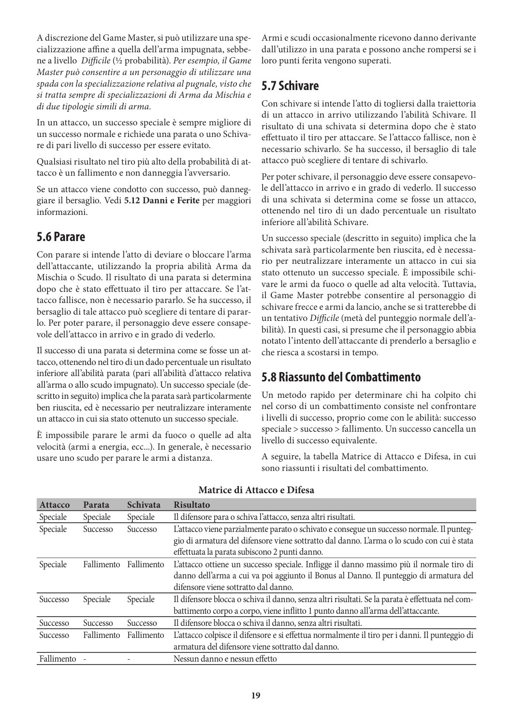A discrezione del Game Master, si può utilizzare una specializzazione affine a quella dell'arma impugnata, sebbene a livello *Difficile* (½ probabilità). *Per esempio, il Game Master può consentire a un personaggio di utilizzare una spada con la specializzazione relativa al pugnale, visto che si tratta sempre di specializzazioni di Arma da Mischia e di due tipologie simili di arma.*

In un attacco, un successo speciale è sempre migliore di un successo normale e richiede una parata o uno Schivare di pari livello di successo per essere evitato.

Qualsiasi risultato nel tiro più alto della probabilità di attacco è un fallimento e non danneggia l'avversario.

Se un attacco viene condotto con successo, può danneggiare il bersaglio. Vedi **5.12 Danni e Ferite** per maggiori informazioni.

## **5.6 Parare**

Con parare si intende l'atto di deviare o bloccare l'arma dell'attaccante, utilizzando la propria abilità Arma da Mischia o Scudo. Il risultato di una parata si determina dopo che è stato effettuato il tiro per attaccare. Se l'attacco fallisce, non è necessario pararlo. Se ha successo, il bersaglio di tale attacco può scegliere di tentare di pararlo. Per poter parare, il personaggio deve essere consapevole dell'attacco in arrivo e in grado di vederlo.

Il successo di una parata si determina come se fosse un attacco, ottenendo nel tiro di un dado percentuale un risultato inferiore all'abilità parata (pari all'abilità d'attacco relativa all'arma o allo scudo impugnato). Un successo speciale (descritto in seguito) implica che la parata sarà particolarmente ben riuscita, ed è necessario per neutralizzare interamente un attacco in cui sia stato ottenuto un successo speciale.

È impossibile parare le armi da fuoco o quelle ad alta velocità (armi a energia, ecc...). In generale, è necessario usare uno scudo per parare le armi a distanza.

Armi e scudi occasionalmente ricevono danno derivante dall'utilizzo in una parata e possono anche rompersi se i loro punti ferita vengono superati.

## **5.7 Schivare**

Con schivare si intende l'atto di togliersi dalla traiettoria di un attacco in arrivo utilizzando l'abilità Schivare. Il risultato di una schivata si determina dopo che è stato effettuato il tiro per attaccare. Se l'attacco fallisce, non è necessario schivarlo. Se ha successo, il bersaglio di tale attacco può scegliere di tentare di schivarlo.

Per poter schivare, il personaggio deve essere consapevole dell'attacco in arrivo e in grado di vederlo. Il successo di una schivata si determina come se fosse un attacco, ottenendo nel tiro di un dado percentuale un risultato inferiore all'abilità Schivare.

Un successo speciale (descritto in seguito) implica che la schivata sarà particolarmente ben riuscita, ed è necessario per neutralizzare interamente un attacco in cui sia stato ottenuto un successo speciale. È impossibile schivare le armi da fuoco o quelle ad alta velocità. Tuttavia, il Game Master potrebbe consentire al personaggio di schivare frecce e armi da lancio, anche se si tratterebbe di un tentativo *Difficile* (metà del punteggio normale dell'abilità). In questi casi, si presume che il personaggio abbia notato l'intento dell'attaccante di prenderlo a bersaglio e che riesca a scostarsi in tempo.

## **5.8 Riassunto del Combattimento**

Un metodo rapido per determinare chi ha colpito chi nel corso di un combattimento consiste nel confrontare i livelli di successo, proprio come con le abilità: successo speciale > successo > fallimento. Un successo cancella un livello di successo equivalente.

A seguire, la tabella Matrice di Attacco e Difesa, in cui sono riassunti i risultati del combattimento.

| <b>Attacco</b>  | Parata     | Schivata   | <b>Risultato</b>                                                                                 |
|-----------------|------------|------------|--------------------------------------------------------------------------------------------------|
| Speciale        | Speciale   | Speciale   | Il difensore para o schiva l'attacco, senza altri risultati.                                     |
| Speciale        | Successo   | Successo   | L'attacco viene parzialmente parato o schivato e consegue un successo normale. Il punteg-        |
|                 |            |            | gio di armatura del difensore viene sottratto dal danno. L'arma o lo scudo con cui è stata       |
|                 |            |            | effettuata la parata subiscono 2 punti danno.                                                    |
| Speciale        | Fallimento | Fallimento | L'attacco ottiene un successo speciale. Infligge il danno massimo più il normale tiro di         |
|                 |            |            | danno dell'arma a cui va poi aggiunto il Bonus al Danno. Il punteggio di armatura del            |
|                 |            |            | difensore viene sottratto dal danno.                                                             |
| Successo        | Speciale   | Speciale   | Il difensore blocca o schiva il danno, senza altri risultati. Se la parata è effettuata nel com- |
|                 |            |            | battimento corpo a corpo, viene inflitto 1 punto danno all'arma dell'attaccante.                 |
| Successo        | Successo   | Successo   | Il difensore blocca o schiva il danno, senza altri risultati.                                    |
| <b>Successo</b> | Fallimento | Fallimento | L'attacco colpisce il difensore e si effettua normalmente il tiro per i danni. Il punteggio di   |
|                 |            |            | armatura del difensore viene sottratto dal danno.                                                |
| Fallimento      |            |            | Nessun danno e nessun effetto                                                                    |

#### **Matrice di Attacco e Difesa**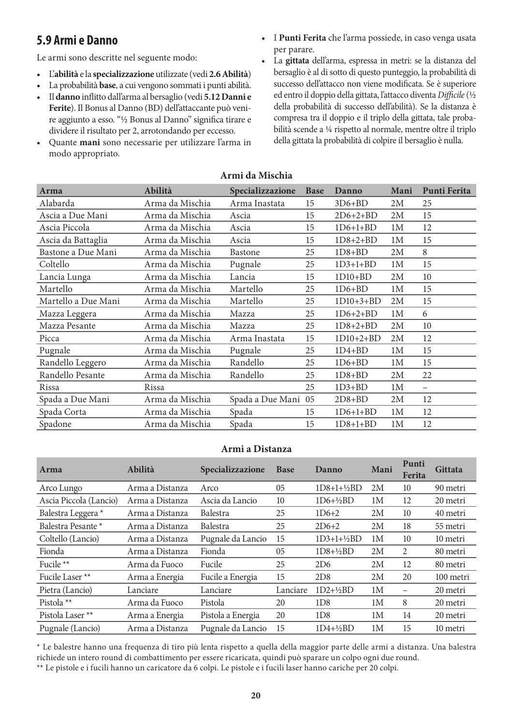#### **5.9 Armi e Danno**

Le armi sono descritte nel seguente modo:

- L'**abilità** e la **specializzazione** utilizzate (vedi **2.6 Abilità**)
- La probabilità **base**, a cui vengono sommati i punti abilità.
- Il **danno** inflitto dall'arma al bersaglio (vedi **5.12 Danni e Ferite**). Il Bonus al Danno (BD) dell'attaccante può venire aggiunto a esso. "½ Bonus al Danno" significa tirare e dividere il risultato per 2, arrotondando per eccesso.
- Quante **mani** sono necessarie per utilizzare l'arma in modo appropriato.
- I **Punti Ferita** che l'arma possiede, in caso venga usata per parare.
- La **gittata** dell'arma, espressa in metri: se la distanza del bersaglio è al di sotto di questo punteggio, la probabilità di successo dell'attacco non viene modificata. Se è superiore ed entro il doppio della gittata, l'attacco diventa *Difficile* (½ della probabilità di successo dell'abilità). Se la distanza è compresa tra il doppio e il triplo della gittata, tale probabilità scende a ¼ rispetto al normale, mentre oltre il triplo della gittata la probabilità di colpire il bersaglio è nulla.

| Arma                | Abilità         | Specializzazione | <b>Base</b> | Danno       | Mani | Punti Ferita |
|---------------------|-----------------|------------------|-------------|-------------|------|--------------|
| Alabarda            | Arma da Mischia | Arma Inastata    | 15          | $3D6 + BD$  | 2M   | 25           |
| Ascia a Due Mani    | Arma da Mischia | Ascia            | 15          | $2D6+2+BD$  | 2M   | 15           |
| Ascia Piccola       | Arma da Mischia | Ascia            | 15          | $1D6+1+BD$  | 1M   | 12           |
| Ascia da Battaglia  | Arma da Mischia | Ascia            | 15          | $1D8+2+BD$  | 1M   | 15           |
| Bastone a Due Mani  | Arma da Mischia | <b>Bastone</b>   | 25          | $1D8 + BD$  | 2M   | 8            |
| Coltello            | Arma da Mischia | Pugnale          | 25          | $1D3+1+BD$  | 1M   | 15           |
| Lancia Lunga        | Arma da Mischia | Lancia           | 15          | $1D10+BD$   | 2M   | 10           |
| Martello            | Arma da Mischia | Martello         | 25          | $1D6 + BD$  | 1M   | 15           |
| Martello a Due Mani | Arma da Mischia | Martello         | 25          | $1D10+3+BD$ | 2M   | 15           |
| Mazza Leggera       | Arma da Mischia | Mazza            | 25          | $1D6+2+BD$  | 1M   | 6            |
| Mazza Pesante       | Arma da Mischia | Mazza            | 25          | $1D8+2+BD$  | 2M   | 10           |
| Picca               | Arma da Mischia | Arma Inastata    | 15          | $1D10+2+BD$ | 2M   | 12           |
| Pugnale             | Arma da Mischia | Pugnale          | 25          | $1D4 + BD$  | 1M   | 15           |
| Randello Leggero    | Arma da Mischia | Randello         | 25          | $1D6 + BD$  | 1M   | 15           |
| Randello Pesante    | Arma da Mischia | Randello         | 25          | $1D8 + BD$  | 2M   | 22           |
| Rissa               | Rissa           |                  | 25          | $1D3+BD$    | 1M   |              |
| Spada a Due Mani    | Arma da Mischia | Spada a Due Mani | 05          | $2D8 + BD$  | 2M   | 12           |
| Spada Corta         | Arma da Mischia | Spada            | 15          | $1D6+1+BD$  | 1M   | 12           |
| Spadone             | Arma da Mischia | Spada            | 15          | $1D8+1+BD$  | 1M   | 12           |

#### **Armi da Mischia**

#### **Armi a Distanza**

| Arma                        | Abilità         | Specializzazione  | <b>Base</b> | Danno                 | Mani | Punti<br>Ferita          | <b>Gittata</b> |
|-----------------------------|-----------------|-------------------|-------------|-----------------------|------|--------------------------|----------------|
| Arco Lungo                  | Arma a Distanza | Arco              | 05          | $1D8+1+1/2BD$         | 2M   | 10                       | 90 metri       |
| Ascia Piccola (Lancio)      | Arma a Distanza | Ascia da Lancio   | 10          | $1D6 + \frac{1}{2}BD$ | 1M   | 12                       | 20 metri       |
| Balestra Leggera *          | Arma a Distanza | Balestra          | 25          | $1D6+2$               | 2M   | 10                       | 40 metri       |
| Balestra Pesante *          | Arma a Distanza | <b>Balestra</b>   | 25          | $2D6+2$               | 2M   | 18                       | 55 metri       |
| Coltello (Lancio)           | Arma a Distanza | Pugnale da Lancio | 15          | $1D3+1+1/2BD$         | 1M   | 10                       | 10 metri       |
| Fionda                      | Arma a Distanza | Fionda            | 05          | $1D8+\frac{1}{2}BD$   | 2M   | 2                        | 80 metri       |
| Fucile **                   | Arma da Fuoco   | Fucile            | 25          | 2D6                   | 2M   | 12                       | 80 metri       |
| Fucile Laser <sup>**</sup>  | Arma a Energia  | Fucile a Energia  | 15          | 2D8                   | 2M   | 20                       | 100 metri      |
| Pietra (Lancio)             | Lanciare        | Lanciare          | Lanciare    | $1D2 + \frac{1}{2}BD$ | 1M   | $\overline{\phantom{0}}$ | 20 metri       |
| Pistola <sup>**</sup>       | Arma da Fuoco   | Pistola           | 20          | 1D8                   | 1M   | 8                        | 20 metri       |
| Pistola Laser <sup>**</sup> | Arma a Energia  | Pistola a Energia | 20          | 1D8                   | 1M   | 14                       | 20 metri       |
| Pugnale (Lancio)            | Arma a Distanza | Pugnale da Lancio | 15          | $1D4+\frac{1}{2}BD$   | 1M   | 15                       | 10 metri       |

\* Le balestre hanno una frequenza di tiro più lenta rispetto a quella della maggior parte delle armi a distanza. Una balestra richiede un intero round di combattimento per essere ricaricata, quindi può sparare un colpo ogni due round.

\*\* Le pistole e i fucili hanno un caricatore da 6 colpi. Le pistole e i fucili laser hanno cariche per 20 colpi.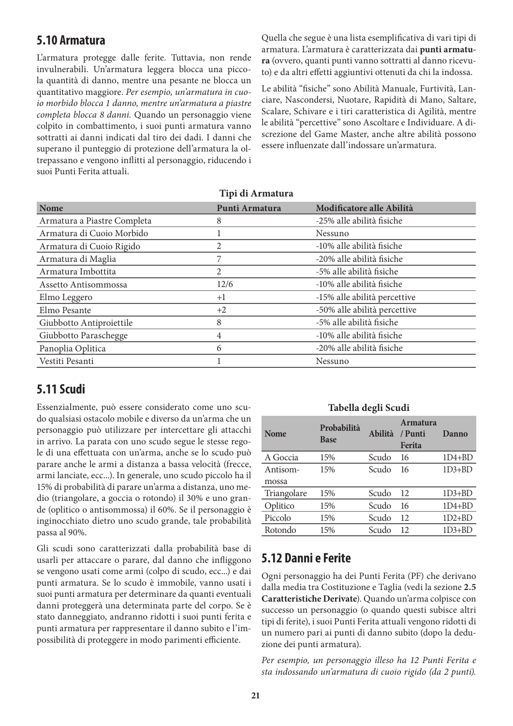#### **5.10 Armatura**

L'armatura protegge dalle ferite. Tuttavia, non rende invulnerabili. Un'armatura leggera blocca una piccola quantità di danno, mentre una pesante ne blocca un quantitativo maggiore. *Per esempio, un'armatura in cuoio morbido blocca 1 danno, mentre un'armatura a piastre completa blocca 8 danni.* Quando un personaggio viene colpito in combattimento, i suoi punti armatura vanno sottratti ai danni indicati dal tiro dei dadi. I danni che superano il punteggio di protezione dell'armatura la oltrepassano e vengono inflitti al personaggio, riducendo i suoi Punti Ferita attuali.

Quella che segue è una lista esemplificativa di vari tipi di armatura. L'armatura è caratterizzata dai **punti armatura** (ovvero, quanti punti vanno sottratti al danno ricevuto) e da altri effetti aggiuntivi ottenuti da chi la indossa.

Le abilità "fisiche" sono Abilità Manuale, Furtività, Lanciare, Nascondersi, Nuotare, Rapidità di Mano, Saltare, Scalare, Schivare e i tiri caratteristica di Agilità, mentre le abilità "percettive" sono Ascoltare e Individuare. A discrezione del Game Master, anche altre abilità possono essere influenzate dall'indossare un'armatura.

|                             | TIPI UI ATHIAUTA |                              |
|-----------------------------|------------------|------------------------------|
| <b>Nome</b>                 | Punti Armatura   | Modificatore alle Abilità    |
| Armatura a Piastre Completa | 8                | -25% alle abilità fisiche    |
| Armatura di Cuoio Morbido   |                  | Nessuno                      |
| Armatura di Cuoio Rigido    | 2                | -10% alle abilità fisiche    |
| Armatura di Maglia          |                  | -20% alle abilità fisiche    |
| Armatura Imbottita          | 2                | -5% alle abilità fisiche     |
| Assetto Antisommossa        | 12/6             | -10% alle abilità fisiche    |
| Elmo Leggero                | $+1$             | -15% alle abilità percettive |
| Elmo Pesante                | $+2$             | -50% alle abilità percettive |
| Giubbotto Antiproiettile    | 8                | -5% alle abilità fisiche     |
| Giubbotto Paraschegge       | 4                | -10% alle abilità fisiche    |
| Panoplia Oplitica           | 6                | -20% alle abilità fisiche    |
| Vestiti Pesanti             |                  | Nessuno                      |

**Tipi di Armatura**

#### **5.11 Scudi**

Essenzialmente, può essere considerato come uno scudo qualsiasi ostacolo mobile e diverso da un'arma che un personaggio può utilizzare per intercettare gli attacchi in arrivo. La parata con uno scudo segue le stesse regole di una effettuata con un'arma, anche se lo scudo può parare anche le armi a distanza a bassa velocità (frecce, armi lanciate, ecc...). In generale, uno scudo piccolo ha il 15% di probabilità di parare un'arma a distanza, uno medio (triangolare, a goccia o rotondo) il 30% e uno grande (oplitico o antisommossa) il 60%. Se il personaggio è inginocchiato dietro uno scudo grande, tale probabilità passa al 90%.

Gli scudi sono caratterizzati dalla probabilità base di usarli per attaccare o parare, dal danno che infliggono se vengono usati come armi (colpo di scudo, ecc...) e dai punti armatura. Se lo scudo è immobile, vanno usati i suoi punti armatura per determinare da quanti eventuali danni proteggerà una determinata parte del corpo. Se è stato danneggiato, andranno ridotti i suoi punti ferita e punti armatura per rappresentare il danno subito e l'impossibilità di proteggere in modo parimenti efficiente.

#### **Tabella degli Scudi**

| <b>Nome</b> | Probabilità<br><b>Base</b> | <b>Abilità</b> | <b>Armatura</b><br>/ Punti<br>Ferita | Danno      |
|-------------|----------------------------|----------------|--------------------------------------|------------|
| A Goccia    | 15%                        | Scudo          | 16                                   | $1D4 + BD$ |
| Antisom-    | 15%                        | Scudo          | 16                                   | $1D3 + BD$ |
| mossa       |                            |                |                                      |            |
| Triangolare | 15%                        | Scudo          | 12                                   | $1D3+BD$   |
| Oplitico    | 15%                        | Scudo          | 16                                   | $1D4 + BD$ |
| Piccolo     | 15%                        | Scudo          | 12                                   | $1D2 + BD$ |
| Rotondo     | 15%                        | Scudo          | 12                                   | $1D3 + BD$ |

#### **5.12 Danni e Ferite**

Ogni personaggio ha dei Punti Ferita (PF) che derivano dalla media tra Costituzione e Taglia (vedi la sezione **2.5 Caratteristiche Derivate**). Quando un'arma colpisce con successo un personaggio (o quando questi subisce altri tipi di ferite), i suoi Punti Ferita attuali vengono ridotti di un numero pari ai punti di danno subito (dopo la deduzione dei punti armatura).

*Per esempio, un personaggio illeso ha 12 Punti Ferita e sta indossando un'armatura di cuoio rigido (da 2 punti).*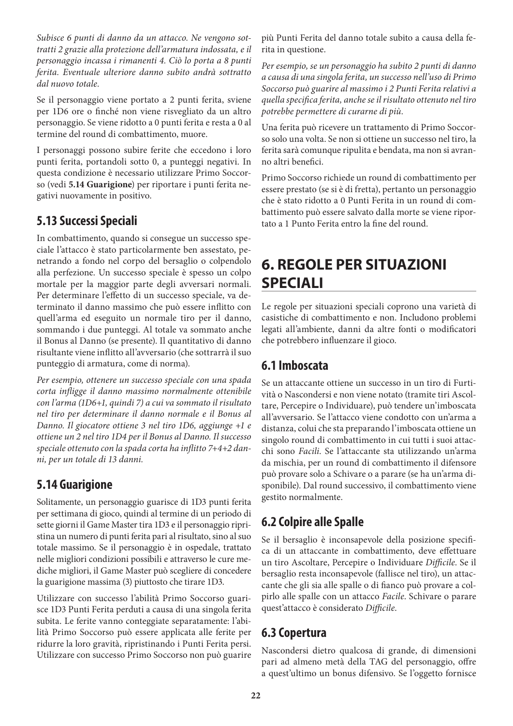*Subisce 6 punti di danno da un attacco. Ne vengono sottratti 2 grazie alla protezione dell'armatura indossata, e il personaggio incassa i rimanenti 4. Ciò lo porta a 8 punti ferita. Eventuale ulteriore danno subito andrà sottratto dal nuovo totale.*

Se il personaggio viene portato a 2 punti ferita, sviene per 1D6 ore o finché non viene risvegliato da un altro personaggio. Se viene ridotto a 0 punti ferita e resta a 0 al termine del round di combattimento, muore.

I personaggi possono subire ferite che eccedono i loro punti ferita, portandoli sotto 0, a punteggi negativi. In questa condizione è necessario utilizzare Primo Soccorso (vedi **5.14 Guarigione**) per riportare i punti ferita negativi nuovamente in positivo.

## **5.13 Successi Speciali**

In combattimento, quando si consegue un successo speciale l'attacco è stato particolarmente ben assestato, penetrando a fondo nel corpo del bersaglio o colpendolo alla perfezione. Un successo speciale è spesso un colpo mortale per la maggior parte degli avversari normali. Per determinare l'effetto di un successo speciale, va determinato il danno massimo che può essere inflitto con quell'arma ed eseguito un normale tiro per il danno, sommando i due punteggi. Al totale va sommato anche il Bonus al Danno (se presente). Il quantitativo di danno risultante viene inflitto all'avversario (che sottrarrà il suo punteggio di armatura, come di norma).

*Per esempio, ottenere un successo speciale con una spada corta infligge il danno massimo normalmente ottenibile con l'arma (1D6+1, quindi 7) a cui va sommato il risultato nel tiro per determinare il danno normale e il Bonus al Danno. Il giocatore ottiene 3 nel tiro 1D6, aggiunge +1 e ottiene un 2 nel tiro 1D4 per il Bonus al Danno. Il successo speciale ottenuto con la spada corta ha inflitto 7+4+2 danni, per un totale di 13 danni.*

#### **5.14 Guarigione**

Solitamente, un personaggio guarisce di 1D3 punti ferita per settimana di gioco, quindi al termine di un periodo di sette giorni il Game Master tira 1D3 e il personaggio ripristina un numero di punti ferita pari al risultato, sino al suo totale massimo. Se il personaggio è in ospedale, trattato nelle migliori condizioni possibili e attraverso le cure mediche migliori, il Game Master può scegliere di concedere la guarigione massima (3) piuttosto che tirare 1D3.

Utilizzare con successo l'abilità Primo Soccorso guarisce 1D3 Punti Ferita perduti a causa di una singola ferita subita. Le ferite vanno conteggiate separatamente: l'abilità Primo Soccorso può essere applicata alle ferite per ridurre la loro gravità, ripristinando i Punti Ferita persi. Utilizzare con successo Primo Soccorso non può guarire più Punti Ferita del danno totale subito a causa della ferita in questione.

*Per esempio, se un personaggio ha subito 2 punti di danno a causa di una singola ferita, un successo nell'uso di Primo Soccorso può guarire al massimo i 2 Punti Ferita relativi a quella specifica ferita, anche se il risultato ottenuto nel tiro potrebbe permettere di curarne di più.*

Una ferita può ricevere un trattamento di Primo Soccorso solo una volta. Se non si ottiene un successo nel tiro, la ferita sarà comunque ripulita e bendata, ma non si avranno altri benefici.

Primo Soccorso richiede un round di combattimento per essere prestato (se si è di fretta), pertanto un personaggio che è stato ridotto a 0 Punti Ferita in un round di combattimento può essere salvato dalla morte se viene riportato a 1 Punto Ferita entro la fine del round.

# **6. REGOLE PER SITUAZIONI SPECIALI**

Le regole per situazioni speciali coprono una varietà di casistiche di combattimento e non. Includono problemi legati all'ambiente, danni da altre fonti o modificatori che potrebbero influenzare il gioco.

#### **6.1 Imboscata**

Se un attaccante ottiene un successo in un tiro di Furtività o Nascondersi e non viene notato (tramite tiri Ascoltare, Percepire o Individuare), può tendere un'imboscata all'avversario. Se l'attacco viene condotto con un'arma a distanza, colui che sta preparando l'imboscata ottiene un singolo round di combattimento in cui tutti i suoi attacchi sono *Facili*. Se l'attaccante sta utilizzando un'arma da mischia, per un round di combattimento il difensore può provare solo a Schivare o a parare (se ha un'arma disponibile). Dal round successivo, il combattimento viene gestito normalmente.

## **6.2 Colpire alle Spalle**

Se il bersaglio è inconsapevole della posizione specifica di un attaccante in combattimento, deve effettuare un tiro Ascoltare, Percepire o Individuare *Difficile*. Se il bersaglio resta inconsapevole (fallisce nel tiro), un attaccante che gli sia alle spalle o di fianco può provare a colpirlo alle spalle con un attacco *Facile*. Schivare o parare quest'attacco è considerato *Difficile*.

## **6.3 Copertura**

Nascondersi dietro qualcosa di grande, di dimensioni pari ad almeno metà della TAG del personaggio, offre a quest'ultimo un bonus difensivo. Se l'oggetto fornisce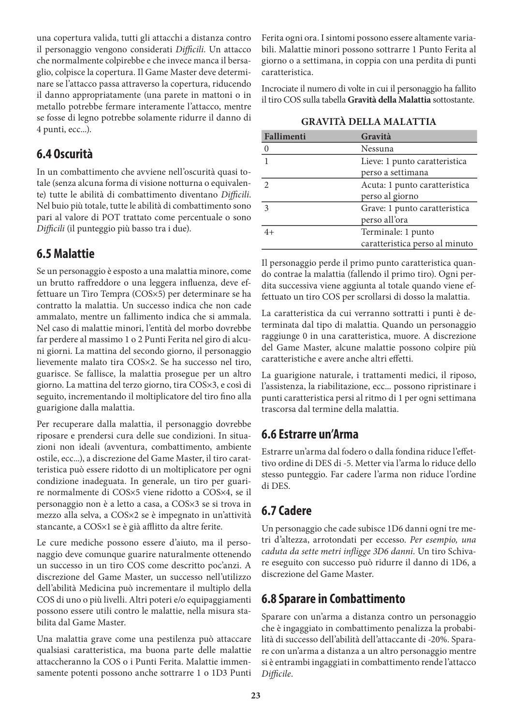una copertura valida, tutti gli attacchi a distanza contro il personaggio vengono considerati *Difficili*. Un attacco che normalmente colpirebbe e che invece manca il bersaglio, colpisce la copertura. Il Game Master deve determinare se l'attacco passa attraverso la copertura, riducendo il danno appropriatamente (una parete in mattoni o in metallo potrebbe fermare interamente l'attacco, mentre se fosse di legno potrebbe solamente ridurre il danno di 4 punti, ecc...).

#### **6.4 Oscurità**

In un combattimento che avviene nell'oscurità quasi totale (senza alcuna forma di visione notturna o equivalente) tutte le abilità di combattimento diventano *Difficili*. Nel buio più totale, tutte le abilità di combattimento sono pari al valore di POT trattato come percentuale o sono *Difficili* (il punteggio più basso tra i due).

## **6.5 Malattie**

Se un personaggio è esposto a una malattia minore, come un brutto raffreddore o una leggera influenza, deve effettuare un Tiro Tempra (COS×5) per determinare se ha contratto la malattia. Un successo indica che non cade ammalato, mentre un fallimento indica che si ammala. Nel caso di malattie minori, l'entità del morbo dovrebbe far perdere al massimo 1 o 2 Punti Ferita nel giro di alcuni giorni. La mattina del secondo giorno, il personaggio lievemente malato tira COS×2. Se ha successo nel tiro, guarisce. Se fallisce, la malattia prosegue per un altro giorno. La mattina del terzo giorno, tira COS×3, e così di seguito, incrementando il moltiplicatore del tiro fino alla guarigione dalla malattia.

Per recuperare dalla malattia, il personaggio dovrebbe riposare e prendersi cura delle sue condizioni. In situazioni non ideali (avventura, combattimento, ambiente ostile, ecc...), a discrezione del Game Master, il tiro caratteristica può essere ridotto di un moltiplicatore per ogni condizione inadeguata. In generale, un tiro per guarire normalmente di COS×5 viene ridotto a COS×4, se il personaggio non è a letto a casa, a COS×3 se si trova in mezzo alla selva, a COS×2 se è impegnato in un'attività stancante, a COS×1 se è già afflitto da altre ferite.

Le cure mediche possono essere d'aiuto, ma il personaggio deve comunque guarire naturalmente ottenendo un successo in un tiro COS come descritto poc'anzi. A discrezione del Game Master, un successo nell'utilizzo dell'abilità Medicina può incrementare il multiplo della COS di uno o più livelli. Altri poteri e/o equipaggiamenti possono essere utili contro le malattie, nella misura stabilita dal Game Master.

Una malattia grave come una pestilenza può attaccare qualsiasi caratteristica, ma buona parte delle malattie attaccheranno la COS o i Punti Ferita. Malattie immensamente potenti possono anche sottrarre 1 o 1D3 Punti Ferita ogni ora. I sintomi possono essere altamente variabili. Malattie minori possono sottrarre 1 Punto Ferita al giorno o a settimana, in coppia con una perdita di punti caratteristica.

Incrociate il numero di volte in cui il personaggio ha fallito il tiro COS sulla tabella **Gravità della Malattia** sottostante.

|  |  | <b>GRAVITÀ DELLA MALATTIA</b> |  |
|--|--|-------------------------------|--|
|--|--|-------------------------------|--|

| Fallimenti     | Gravità                        |  |  |  |
|----------------|--------------------------------|--|--|--|
| $\theta$       | Nessuna                        |  |  |  |
| $\mathbf{1}$   | Lieve: 1 punto caratteristica  |  |  |  |
|                | perso a settimana              |  |  |  |
| $\overline{2}$ | Acuta: 1 punto caratteristica  |  |  |  |
|                | perso al giorno                |  |  |  |
| $\mathbf{3}$   | Grave: 1 punto caratteristica  |  |  |  |
|                | perso all'ora                  |  |  |  |
| $4+$           | Terminale: 1 punto             |  |  |  |
|                | caratteristica perso al minuto |  |  |  |

Il personaggio perde il primo punto caratteristica quando contrae la malattia (fallendo il primo tiro). Ogni perdita successiva viene aggiunta al totale quando viene effettuato un tiro COS per scrollarsi di dosso la malattia.

La caratteristica da cui verranno sottratti i punti è determinata dal tipo di malattia. Quando un personaggio raggiunge 0 in una caratteristica, muore. A discrezione del Game Master, alcune malattie possono colpire più caratteristiche e avere anche altri effetti.

La guarigione naturale, i trattamenti medici, il riposo, l'assistenza, la riabilitazione, ecc... possono ripristinare i punti caratteristica persi al ritmo di 1 per ogni settimana trascorsa dal termine della malattia.

#### **6.6 Estrarre un'Arma**

Estrarre un'arma dal fodero o dalla fondina riduce l'effettivo ordine di DES di -5. Metter via l'arma lo riduce dello stesso punteggio. Far cadere l'arma non riduce l'ordine di DES.

#### **6.7 Cadere**

Un personaggio che cade subisce 1D6 danni ogni tre metri d'altezza, arrotondati per eccesso. *Per esempio, una caduta da sette metri infligge 3D6 danni.* Un tiro Schivare eseguito con successo può ridurre il danno di 1D6, a discrezione del Game Master.

#### **6.8 Sparare in Combattimento**

Sparare con un'arma a distanza contro un personaggio che è ingaggiato in combattimento penalizza la probabilità di successo dell'abilità dell'attaccante di -20%. Sparare con un'arma a distanza a un altro personaggio mentre si è entrambi ingaggiati in combattimento rende l'attacco *Difficile*.